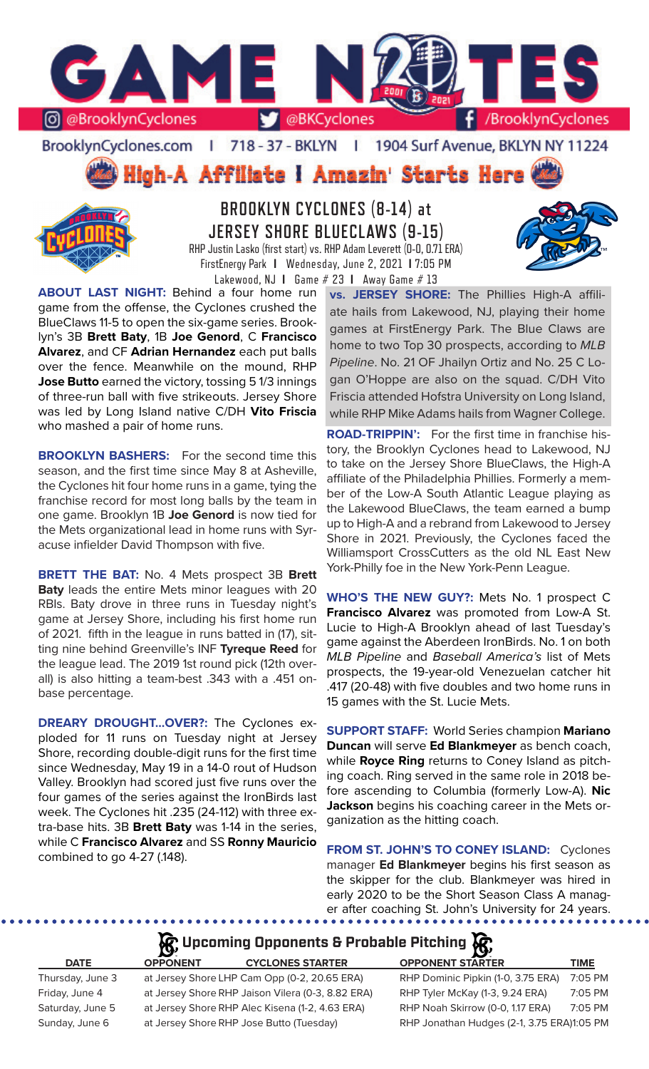

BrooklynCyclones.com | 718 - 37 - BKLYN - 11 1904 Surf Avenue, BKLYN NY 11224





**BROOKLYN CYCLONES (8-14) at JERSEY SHORE BLUECLAWS (9-15)** RHP Justin Lasko (first start) vs. RHP Adam Leverett (0-0, 0.71 ERA) FirstEnergy Park **I** Wednesday, June 2, 2021 **I** 7:05 PM

Lakewood, NJ **I** Game # 23 **I** Away Game # 13



**ABOUT LAST NIGHT:** Behind a four home run game from the offense, the Cyclones crushed the BlueClaws 11-5 to open the six-game series. Brooklyn's 3B **Brett Baty**, 1B **Joe Genord**, C **Francisco Alvarez**, and CF **Adrian Hernandez** each put balls over the fence. Meanwhile on the mound, RHP **Jose Butto** earned the victory, tossing 5 1/3 innings of three-run ball with five strikeouts. Jersey Shore was led by Long Island native C/DH **Vito Friscia**  who mashed a pair of home runs.

**BROOKLYN BASHERS:** For the second time this season, and the first time since May 8 at Asheville, the Cyclones hit four home runs in a game, tying the franchise record for most long balls by the team in one game. Brooklyn 1B **Joe Genord** is now tied for the Mets organizational lead in home runs with Syracuse infielder David Thompson with five.

**BRETT THE BAT:** No. 4 Mets prospect 3B **Brett Baty** leads the entire Mets minor leagues with 20 RBIs. Baty drove in three runs in Tuesday night's game at Jersey Shore, including his first home run of 2021. fifth in the league in runs batted in (17), sitting nine behind Greenville's INF **Tyreque Reed** for the league lead. The 2019 1st round pick (12th overall) is also hitting a team-best .343 with a .451 onbase percentage.

**DREARY DROUGHT...OVER?:** The Cyclones exploded for 11 runs on Tuesday night at Jersey Shore, recording double-digit runs for the first time since Wednesday, May 19 in a 14-0 rout of Hudson Valley. Brooklyn had scored just five runs over the four games of the series against the IronBirds last week. The Cyclones hit .235 (24-112) with three extra-base hits. 3B **Brett Baty** was 1-14 in the series, while C **Francisco Alvarez** and SS **Ronny Mauricio** combined to go 4-27 (.148).

**vs. JERSEY SHORE:** The Phillies High-A affiliate hails from Lakewood, NJ, playing their home games at FirstEnergy Park. The Blue Claws are home to two Top 30 prospects, according to *MLB Pipeline*. No. 21 OF Jhailyn Ortiz and No. 25 C Logan O'Hoppe are also on the squad. C/DH Vito Friscia attended Hofstra University on Long Island, while RHP Mike Adams hails from Wagner College.

**ROAD-TRIPPIN':** For the first time in franchise history, the Brooklyn Cyclones head to Lakewood, NJ to take on the Jersey Shore BlueClaws, the High-A affiliate of the Philadelphia Phillies. Formerly a member of the Low-A South Atlantic League playing as the Lakewood BlueClaws, the team earned a bump up to High-A and a rebrand from Lakewood to Jersey Shore in 2021. Previously, the Cyclones faced the Williamsport CrossCutters as the old NL East New York-Philly foe in the New York-Penn League.

**WHO'S THE NEW GUY?:** Mets No. 1 prospect C **Francisco Alvarez** was promoted from Low-A St. Lucie to High-A Brooklyn ahead of last Tuesday's game against the Aberdeen IronBirds. No. 1 on both *MLB Pipeline* and *Baseball America's* list of Mets prospects, the 19-year-old Venezuelan catcher hit .417 (20-48) with five doubles and two home runs in 15 games with the St. Lucie Mets.

**SUPPORT STAFF:** World Series champion **Mariano Duncan** will serve **Ed Blankmeyer** as bench coach, while **Royce Ring** returns to Coney Island as pitching coach. Ring served in the same role in 2018 before ascending to Columbia (formerly Low-A). **Nic Jackson** begins his coaching career in the Mets organization as the hitting coach.

**FROM ST. JOHN'S TO CONEY ISLAND:** Cyclones manager **Ed Blankmeyer** begins his first season as the skipper for the club. Blankmeyer was hired in early 2020 to be the Short Season Class A manager after coaching St. John's University for 24 years.

# **A** Upcoming Opponents & Probable Pitching

| <b>DATE</b>      | <b>OPPONENT</b> | <b>CYCLONES STARTER</b>                           | <b>OPPONENT STARTER</b>                    | <b>TIME</b> |
|------------------|-----------------|---------------------------------------------------|--------------------------------------------|-------------|
| Thursday, June 3 |                 | at Jersey Shore LHP Cam Opp (0-2, 20.65 ERA)      | RHP Dominic Pipkin (1-0, 3.75 ERA)         | 7:05 PM     |
| Friday, June 4   |                 | at Jersey Shore RHP Jaison Vilera (0-3, 8.82 ERA) | RHP Tyler McKay (1-3, 9.24 ERA)            | 7:05 PM     |
| Saturday, June 5 |                 | at Jersey Shore RHP Alec Kisena (1-2, 4.63 ERA)   | RHP Noah Skirrow (0-0, 1.17 ERA)           | 7:05 PM     |
| Sunday, June 6   |                 | at Jersey Shore RHP Jose Butto (Tuesday)          | RHP Jonathan Hudges (2-1, 3.75 ERA)1:05 PM |             |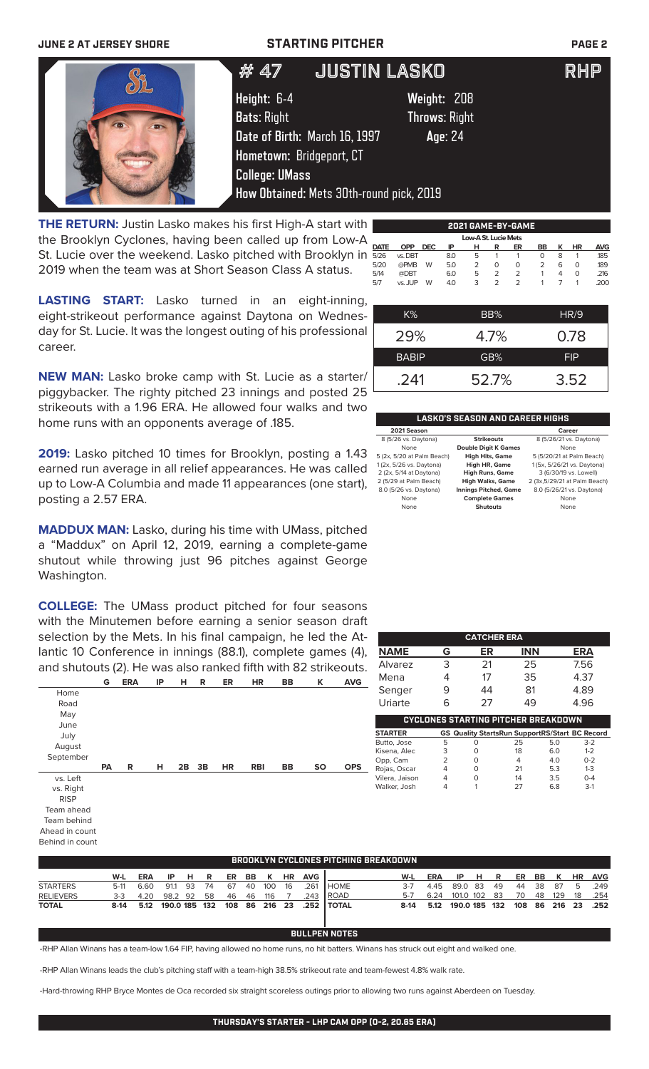### **JUNE 2 AT JERSEY SHORE STARTING PITCHER PAGE 2**

|                                                                                                                                                                                                                                                                                                                                                                                                                                                                                            | JUSTIN LASKO<br># 47                     |                      | <b>RHP</b> |
|--------------------------------------------------------------------------------------------------------------------------------------------------------------------------------------------------------------------------------------------------------------------------------------------------------------------------------------------------------------------------------------------------------------------------------------------------------------------------------------------|------------------------------------------|----------------------|------------|
|                                                                                                                                                                                                                                                                                                                                                                                                                                                                                            | Height: 6-4                              | Weight: 208          |            |
|                                                                                                                                                                                                                                                                                                                                                                                                                                                                                            | <b>Bats: Right</b>                       | <b>Throws: Right</b> |            |
|                                                                                                                                                                                                                                                                                                                                                                                                                                                                                            | Date of Birth: March 16, 1997            | Age: 24              |            |
|                                                                                                                                                                                                                                                                                                                                                                                                                                                                                            | Hometown: Bridgeport, CT                 |                      |            |
|                                                                                                                                                                                                                                                                                                                                                                                                                                                                                            | <b>College: UMass</b>                    |                      |            |
|                                                                                                                                                                                                                                                                                                                                                                                                                                                                                            | How Obtained: Mets 30th-round pick, 2019 |                      |            |
| $\blacksquare$ $\blacksquare$ $\blacksquare$ $\blacksquare$ $\blacksquare$ $\blacksquare$ $\blacksquare$ $\blacksquare$ $\blacksquare$ $\blacksquare$ $\blacksquare$ $\blacksquare$ $\blacksquare$ $\blacksquare$ $\blacksquare$ $\blacksquare$ $\blacksquare$ $\blacksquare$ $\blacksquare$ $\blacksquare$ $\blacksquare$ $\blacksquare$ $\blacksquare$ $\blacksquare$ $\blacksquare$ $\blacksquare$ $\blacksquare$ $\blacksquare$ $\blacksquare$ $\blacksquare$ $\blacksquare$ $\blacks$ |                                          |                      |            |

**THE RETURN:** Justin Lasko makes his first High-A start with the Brooklyn Cyclones, having been called up from Low-A St. Lucie over the weekend. Lasko pitched with Brooklyn in 2019 when the team was at Short Season Class A status.

|             |            |            |     |                      |   | 2021 GAME-BY-GAME |                |   |    |            |
|-------------|------------|------------|-----|----------------------|---|-------------------|----------------|---|----|------------|
|             |            |            |     | Low-A St. Lucie Mets |   |                   |                |   |    |            |
| <b>DATE</b> | <b>OPP</b> | <b>DEC</b> | IP  | н                    | R | ER                | <b>BB</b>      | κ | ΗR | <b>AVG</b> |
| 5/26        | vs. DBT    |            | 8.0 | 5                    |   |                   | O              | 8 |    | .185       |
| 5/20        | @PMB       | W          | 5.0 | $\overline{2}$       | 0 | 0                 | $\overline{2}$ | 6 | O  | .189       |
| 5/14        | @DBT       |            | 6.0 | 5                    | 2 | $\mathcal{P}$     |                | 4 | O  | .216       |
| 5/7         | vs. JUP    | W          | 4.0 | 3                    | 2 | $\mathcal{P}$     |                |   |    | .200       |
|             |            |            |     |                      |   |                   |                |   |    |            |

**LASTING START:** Lasko turned in an eight-inning, eight-strikeout performance against Daytona on Wednesday for St. Lucie. It was the longest outing of his professional career.

**NEW MAN:** Lasko broke camp with St. Lucie as a starter/ piggybacker. The righty pitched 23 innings and posted 25 strikeouts with a 1.96 ERA. He allowed four walks and two home runs with an opponents average of .185.

**2019:** Lasko pitched 10 times for Brooklyn, posting a 1.43 earned run average in all relief appearances. He was called up to Low-A Columbia and made 11 appearances (one start), posting a 2.57 ERA.

**MADDUX MAN:** Lasko, during his time with UMass, pitched a "Maddux" on April 12, 2019, earning a complete-game shutout while throwing just 96 pitches against George Washington.

**COLLEGE:** The UMass product pitched for four seasons with the Minutemen before earning a senior season draft selection by the Mets. In his final campaign, he led the Atlantic 10 Conference in innings (88.1), complete games (4), and shutouts (2). He was also ranked fifth with 82 strikeouts.



Behind in count

| $K\%$        | BB%   | <b>HR/9</b> |
|--------------|-------|-------------|
| 29%          | 4.7%  | 0.78        |
| <b>BABIP</b> | GB%   | <b>FIP</b>  |
| .241         | 52.7% | 3.52        |

### **LASKO'S SEASON AND CAREER HIGHS**

| 2021 Season                |                              | Career                        |
|----------------------------|------------------------------|-------------------------------|
| 8 (5/26 vs. Daytona)       | <b>Strikeouts</b>            | 8 (5/26/21 vs. Daytona)       |
| None                       | <b>Double Digit K Games</b>  | None                          |
| 5 (2x, 5/20 at Palm Beach) | <b>High Hits, Game</b>       | 5 (5/20/21 at Palm Beach)     |
| 1(2x, 5/26 vs. Daytona)    | High HR, Game                | 1 (5x, 5/26/21 vs. Daytona)   |
| 2 (2x, 5/14 at Daytona)    | <b>High Runs, Game</b>       | 3 (6/30/19 vs. Lowell)        |
| 2 (5/29 at Palm Beach)     | <b>High Walks, Game</b>      | 2 (3x, 5/29/21 at Palm Beach) |
| 8.0 (5/26 vs. Daytona)     | <b>Innings Pitched, Game</b> | 8.0 (5/26/21 vs. Daytona)     |
| None                       | <b>Complete Games</b>        | None                          |
| None                       | <b>Shutouts</b>              | None                          |
|                            |                              |                               |

|                |   | <b>CATCHER ERA</b>                         |            |                                                       |
|----------------|---|--------------------------------------------|------------|-------------------------------------------------------|
| <b>NAME</b>    | G | ER                                         | <b>INN</b> | <b>ERA</b>                                            |
| Alvarez        | 3 | 21                                         | 25         | 7.56                                                  |
| Mena           |   | 17                                         | 35         | 4.37                                                  |
| Senger         | 9 | 44                                         | 81         | 4.89                                                  |
| Uriarte        | 6 | 27                                         | 49         | 4.96                                                  |
|                |   | <b>CYCLONES STARTING PITCHER BREAKDOWN</b> |            |                                                       |
| <b>STARTER</b> |   |                                            |            | <b>GS Quality StartsRun SupportRS/Start BC Record</b> |
| Butto, Jose    | 5 |                                            | 25         | 5.0<br>$3-2$                                          |

| Butto, Jose    |   | 25 | 5.0 | $3-2$   |
|----------------|---|----|-----|---------|
| Kisena, Alec   | 0 | 18 | 6.0 | $1 - 2$ |
| Opp, Cam       | 0 | 4  | 4.0 | $0 - 2$ |
| Rojas, Oscar   |   | 21 | 5.3 | $1 - 3$ |
| Vilera, Jaison | O | 14 | 3.5 | $O - 4$ |
| Walker, Josh   |   | 27 | 6.8 | $3-1$   |

| W-L     | <b>ERA</b> | IP. |                    |    |     | <b>HR</b>               | <b>AVG</b>                       |             | W-L                           | <b>ERA</b>                                  | IP. | R       | ER                                      |    | K         | <b>HR</b> | <b>AVG</b>    |
|---------|------------|-----|--------------------|----|-----|-------------------------|----------------------------------|-------------|-------------------------------|---------------------------------------------|-----|---------|-----------------------------------------|----|-----------|-----------|---------------|
| 5-11    | 6.60       |     | 74                 | 67 |     | 16                      | 261                              | <b>HOME</b> | $3 - 7$                       | 445                                         |     | -49     | 44                                      |    |           | 5         | .249          |
| $3 - 3$ | 4.20       |     | 58                 | 46 | 116 |                         | .243                             |             | 5-7                           | 6.24                                        |     |         | 70                                      | 48 | 129       | 18        | .254          |
| $8-14$  |            |     |                    |    |     |                         |                                  |             | $8-14$                        | 5.12                                        |     |         |                                         |    |           |           | .252          |
|         |            |     | 91.1 93<br>98.2 92 | HR |     | ER BB K<br>40 100<br>46 | 5.12 190.0 185 132 108 86 216 23 |             | <b>I ROAD</b><br>.252   TOTAL | <b>BROOKLYN CYCLONES PITCHING BREAKDOWN</b> |     | 89.0 83 | . H. 5<br>101.0 102 83<br>190.0 185 132 |    | BB<br>-38 | - 87      | 108 86 216 23 |

## **BULLPEN NOTES**

-RHP Allan Winans has a team-low 1.64 FIP, having allowed no home runs, no hit batters. Winans has struck out eight and walked one.

-RHP Allan Winans leads the club's pitching staff with a team-high 38.5% strikeout rate and team-fewest 4.8% walk rate.

-Hard-throwing RHP Bryce Montes de Oca recorded six straight scoreless outings prior to allowing two runs against Aberdeen on Tuesday.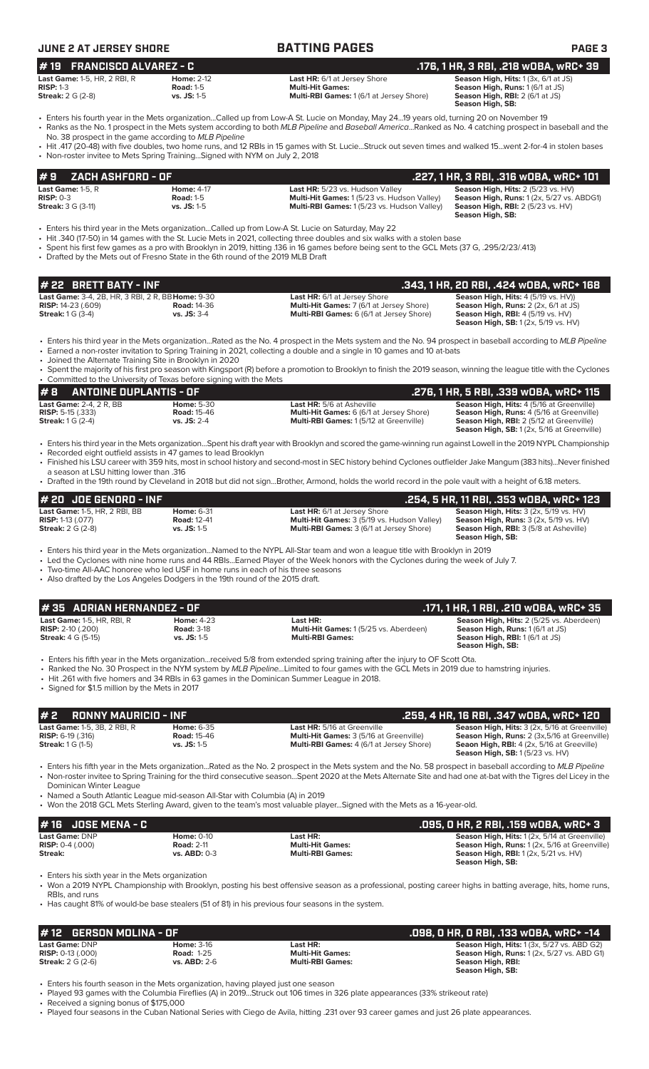### **JUNE 2 AT JERSEY SHORE BATTING PAGES PAGE 3 # 22 BRETT BATY - INF .343, 1 HR, 20 RBI, .424 wOBA, wRC+ 168 Last Game:** 3-4, 2B, HR, 3 RBI, 2 R, BB**Home:** 9-30 **Last HR:** 6/1 at Jersey Shore **Season High, Hits:** 4 (5/19 vs. HV)) **RISP:** 14-23 (.609) **Road:** 14-36 **Multi-Hit Games:** 7 (6/1 at Jersey Shore) **Season High, Runs:** 2 (2x, 6/1 at JS) **Streak:** 1 G (3-4) **vs. JS:** 3-4 **Multi-RBI Games:** 6 (6/1 at Jersey Shore) **Season High, RBI:** 4 (5/19 vs. HV) **Season High, SB:** 1 (2x, 5/19 vs. HV) • Enters his third year in the Mets organization...Rated as the No. 4 prospect in the Mets system and the No. 94 prospect in baseball according to *MLB Pipeline* • Earned a non-roster invitation to Spring Training in 2021, collecting a double and a single in 10 games and 10 at-bats • Joined the Alternate Training Site in Brooklyn in 2020 • Spent the majority of his first pro season with Kingsport (R) before a promotion to Brooklyn to finish the 2019 season, winning the league title with the Cyclones • Committed to the University of Texas before signing with the Mets **# 2 RONNY MAURICIO - INF .259, 4 HR, 16 RBI, .347 wOBA, wRC+ 120 Last Game: 1-5, 3B, 2 RBI, R Home: 6-35 Last HR: 5/16 at Greenville <b>Season High, Hits:** 3 (2x, 5/16 at Greenville) **Season High, Hits:** 3 (2x, 5/16 at Greenville) **RISP: 6-19 (316) Reason High, Buns:** 2 (3x 5/16 at **RISP:** 6-19 (.316) **Road:** 15-46 **Multi-Hit Games:** 3 (5/16 at Greenville) **Season High, Runs:** 2 (3x,5/16 at Greenville) **Streak:** 1 G (1-5) **vs. JS:** 1-5 **Multi-RBI Games:** 4 (6/1 at Jersey Shore) **Seaon High, RBI:** 4 (2x, 5/16 at Greeville) **Season High, SB:** 1 (5/23 vs. HV) • Enters his fifth year in the Mets organization...Rated as the No. 2 prospect in the Mets system and the No. 58 prospect in baseball according to *MLB Pipeline* • Non-roster invitee to Spring Training for the third consecutive season...Spent 2020 at the Mets Alternate Site and had one at-bat with the Tigres del Licey in the Dominican Winter League • Named a South Atlantic League mid-season All-Star with Columbia (A) in 2019 • Won the 2018 GCL Mets Sterling Award, given to the team's most valuable player...Signed with the Mets as a 16-year-old. **# 8 ANTOINE DUPLANTIS - OF .276, 1 HR, 5 RBI, .339 wOBA, wRC+ 115 Last Game:** 2-4, 2 R, BB **Home:** 5-30 **Last HR:** 5/6 at Asheville **RISP:** 5-16 (5/16 at Asheville **RISP:** 5-15 (533) **Cast Game:** 2-4, 2 R, BB **Road:** 15-46 **Multi-Hit Games:** 6 (6/1 at Jersey Shore) **Season High, Hits:** 4 (5/16 at Greenville)<br> **RISP:** 5-15 (.333) **Road:** 15-46 **Multi-Hit Games:** 6 (6/1 at Jersey Shore) **Season High, Run Multi-RBI Games:** 1 (5/12 at Greenville) **Season High, SB:** 1 (2x, 5/16 at Greenville) • Enters his third year in the Mets organization...Spent his draft year with Brooklyn and scored the game-winning run against Lowell in the 2019 NYPL Championship Recorded eight outfield assists in 47 games to lead Brooklyn • Finished his LSU career with 359 hits, most in school history and second-most in SEC history behind Cyclones outfielder Jake Mangum (383 hits)...Never finished a season at LSU hitting lower than .316 • Drafted in the 19th round by Cleveland in 2018 but did not sign...Brother, Armond, holds the world record in the pole vault with a height of 6.18 meters. **# 20 JOE GENORD - INF**<br> **123** Last HR: 6/1 at Jersey Shore **.254, 5 HR, 11 RBI, .353 wOBA, wRC+ 123**<br>
RISP: 1-13 (.077) Road: 12-41 **RISP: 1-13 (.077)** Road: 12-41 **RISP: 1-13 (.077)** Road: 12-41 **RISP: 1-13 (.077) Last Game:** 1-5, HR, 2 RBI, BB **Home:** 6-31 **Last HR:** 6/1 at Jersey Shore **Season High, Hits:** 3 (2x, 5/19 vs. HV) **RISP:** 1-13 (.077) **Road:** 12-41 **Multi-Hit Games:** 3 (5/19 vs. Hudson Valley) **Season High, Runs:** 3 (2x, 5/19 vs. HV) **Streak:** 2 G (2-8) **vs. JS:** 1-5 **Multi-RBI Games:** 3 (6/1 at Jersey Shore) **Season High, RBI:** 3 (5/8 at Asheville) **Season High, SB:**  • Enters his third year in the Mets organization...Named to the NYPL All-Star team and won a league title with Brooklyn in 2019 • Led the Cyclones with nine home runs and 44 RBIs...Earned Player of the Week honors with the Cyclones during the week of July 7. Two-time All-AAC honoree who led USF in home runs in each of his three seasons • Also drafted by the Los Angeles Dodgers in the 19th round of the 2015 draft. **# 16 JOSE MENA - C .095, 0 HR, 2 RBI, .159 wOBA, wRC+ 3 Last Game:** DNP **Home:** 0-10 **Last HR: Season High, Hits:** 1 (2x, 5/14 at Greenville) **RISP:** 0-4 (.000) **Road: 2-11 <b>Road: 2-11 Multi-Hit Games: Season High, Runs: 1 (2**x, 5/16 at Greenville) **Streak: vs. ABD:** 0-3 **Multi-RBI Games: Season High, RBI:** 1 (2x, 5/21 vs. HV) **Season High, SB:**  • Enters his sixth year in the Mets organization • Won a 2019 NYPL Championship with Brooklyn, posting his best offensive season as a professional, posting career highs in batting average, hits, home runs, RBIs, and runs • Has caught 81% of would-be base stealers (51 of 81) in his previous four seasons in the system. **# 12 GERSON MOLINA - OF .098, 0 HR, 0 RBI, .133 wOBA, wRC+ -14 Last Game: DNP Home: 3-16 Last HR: Season High, Hits: 1** (3x, 5/27 vs. ABD G2)<br> **RISP:** 0-13 (000) **Road: 1-25 Multi-Hit Games: Season High, Runs: 1 (2x, 5/27 vs. ABD G1)** Last Game: 1-5, HR, RBI, R<br> **RISP:** 2-10 (.200) **Reason High, Riss:** 2 (5/25 vs. Aberdeen) **RISP:** 2-10 (.200) **Reason Righ, Runs:** 1 (6/1 at JS) **RISP:** 2-10 (.200) **Road: 3-18 Road: 3-18 Multi-Hit Games:** 1 (5/25 vs. Aberdeen) **Streak:** 4 G (5-15) **Streak: 4 G** (5-15) **Streak:** 4 G (5-15) **vs. JS:** 1-5 **Multi-RBI Games: Season High, RBI:** 1 (6/1 at JS) **Season High, SB:**  • Enters his fifth year in the Mets organization...received 5/8 from extended spring training after the injury to OF Scott Ota. • Ranked the No. 30 Prospect in the NYM system by *MLB Pipeline...*Limited to four games with the GCL Mets in 2019 due to hamstring injuries. • Hit .261 with five homers and 34 RBIs in 63 games in the Dominican Summer League in 2018. • Signed for \$1.5 million by the Mets in 2017 **# 35 ADRIAN HERNANDEZ - OF .171, 1 HR, 1 RBI, .210 wOBA, wRC+ 35 Last Game:** 1-5, R **Home:** 4-17 **Last HR:** 5/23 vs. Hudson Valley **Season High, Hits:** 2 (5/23 vs. HV) **RISP:** 0-3 **Road:** 1-5 **Multi-Hit Games:** 1 (5/23 vs. Hudson Valley) **Season High, Runs:** 1 (2x, 5/27 vs. ABDG1) **Multi-RBI Games:** 1 (5/23 vs. Hudson Valley) **Season High, SB:**  • Enters his third year in the Mets organization...Called up from Low-A St. Lucie on Saturday, May 22 • Hit .340 (17-50) in 14 games with the St. Lucie Mets in 2021, collecting three doubles and six walks with a stolen base • Spent his first few games as a pro with Brooklyn in 2019, hitting .136 in 16 games before being sent to the GCL Mets (37 G, .295/2/23/.413) • Drafted by the Mets out of Fresno State in the 6th round of the 2019 MLB Draft **# 9 ZACH ASHFORD - OF .227, 1 HR, 3 RBI, .316 wOBA, wRC+ 101 Last Game: 1-5, HR, 2 RBI, R Home: 2-12 Last HR:** 6/1 at Jersey Shore **Season High, Hits: 1** (3x, 6/1 at JS)<br>**RISP:** 1-3 **Season High, Runs: 1** (6/1 at JS) **RISP:** 1-3 **Road:** 1-5 **Multi-Hit Games: Season High, Runs:** 1 (6/1 at JS) **Multi-RBI Games:** 1 (6/1 at Jersey Shore) **Season High, RBI:** 2 (6/1 at JS)<br>**Season High, RBI:** 2 (6/1 at JS) • Enters his fourth year in the Mets organization...Called up from Low-A St. Lucie on Monday, May 24...19 years old, turning 20 on November 19 • Ranks as the No. 1 prospect in the Mets system according to both *MLB Pipeline* and *Baseball America*...Ranked as No. 4 catching prospect in baseball and the No. 38 prospect in the game according to *MLB Pipeline* • Hit .417 (20-48) with five doubles, two home runs, and 12 RBIs in 15 games with St. Lucie...Struck out seven times and walked 15...went 2-for-4 in stolen bases • Non-roster invitee to Mets Spring Training...Signed with NYM on July 2, 2018 **# 19 FRANCISCO ALVAREZ - C .176, 1 HR, 3 RBI, .218 wOBA, wRC+ 39**

• Enters his fourth season in the Mets organization, having played just one season

• Played 93 games with the Columbia Fireflies (A) in 2019...Struck out 106 times in 326 plate appearances (33% strikeout rate)

• Received a signing bonus of \$175,000

• Played four seasons in the Cuban National Series with Ciego de Avila, hitting .231 over 93 career games and just 26 plate appearances.

**Streak:** 2 G (2-6) **vs. ABD:** 2-6 **Multi-RBI Games: Season High, RBI: Season High, SB:** 

**RISP:** 0-13 (.000) **Road:** 1-25 **Multi-Hit Games: Season High, Runs:** 1 (2x, 5/27 vs. ABD G1)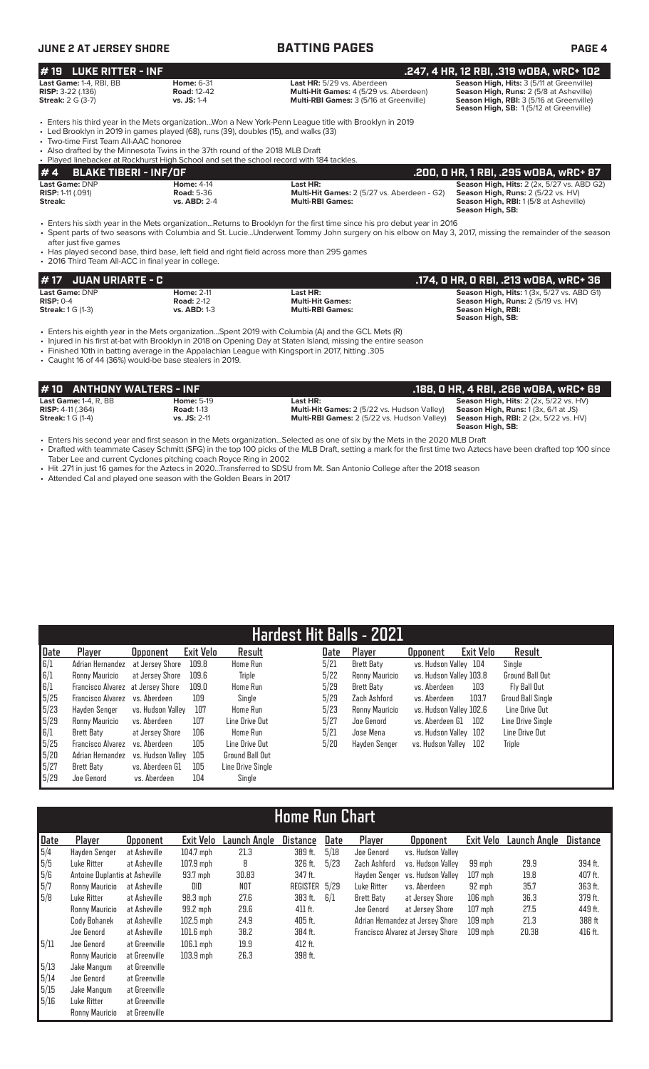| <b>JUNE 2 AT JERSEY SHORE</b>                                                                                                                                                                                                                                                                              |                                                        | <b>BATTING PAGES</b>                                                                                                                                                                                                                                                             | PAGE 4                                                                                                                                                                     |
|------------------------------------------------------------------------------------------------------------------------------------------------------------------------------------------------------------------------------------------------------------------------------------------------------------|--------------------------------------------------------|----------------------------------------------------------------------------------------------------------------------------------------------------------------------------------------------------------------------------------------------------------------------------------|----------------------------------------------------------------------------------------------------------------------------------------------------------------------------|
| $#19$ LUKE RITTER - INF                                                                                                                                                                                                                                                                                    |                                                        |                                                                                                                                                                                                                                                                                  | .247, 4 HR, 12 RBI, .319 wOBA, wRC+ 102                                                                                                                                    |
| Last Game: 1-4, RBI, BB<br><b>RISP: 3-22 (.136)</b><br><b>Streak:</b> 2 G (3-7)                                                                                                                                                                                                                            | <b>Home: 6-31</b><br><b>Road: 12-42</b><br>vs. JS: 1-4 | Last HR: 5/29 vs. Aberdeen<br>Multi-Hit Games: 4 (5/29 vs. Aberdeen)<br>Multi-RBI Games: 3 (5/16 at Greenville)                                                                                                                                                                  | Season High, Hits: 3 (5/11 at Greenville)<br>Season High, Runs: 2 (5/8 at Asheville)<br>Season High, RBI: 3 (5/16 at Greenville)<br>Season High, SB: 1(5/12 at Greenville) |
| • Led Brooklyn in 2019 in games played (68), runs (39), doubles (15), and walks (33)<br>• Two-time First Team All-AAC honoree<br>• Also drafted by the Minnesota Twins in the 37th round of the 2018 MLB Draft<br>• Played linebacker at Rockhurst High School and set the school record with 184 tackles. |                                                        | Enters his third year in the Mets organizationWon a New York-Penn League title with Brooklyn in 2019                                                                                                                                                                             |                                                                                                                                                                            |
| <b>BLAKE TIBERI - INF/OF</b><br><b>#4</b>                                                                                                                                                                                                                                                                  |                                                        |                                                                                                                                                                                                                                                                                  | .200, 0 HR, 1 RBI, .295 w0BA, wRC+ 87                                                                                                                                      |
| Last Game: DNP<br><b>RISP: 1-11 (.091)</b><br>Streak:                                                                                                                                                                                                                                                      | <b>Home: 4-14</b><br><b>Road: 5-36</b><br>vs. ABD: 2-4 | Last HR:<br><b>Multi-Hit Games:</b> 2 (5/27 vs. Aberdeen - G2)<br><b>Multi-RBI Games:</b>                                                                                                                                                                                        | <b>Season High, Hits: 2 (2x, 5/27 vs. ABD G2)</b><br>Season High, Runs: 2 (5/22 vs. HV)<br>Season High, RBI: 1(5/8 at Asheville)<br>Season High, SB:                       |
| after just five games                                                                                                                                                                                                                                                                                      |                                                        | • Enters his sixth year in the Mets organizationReturns to Brooklyn for the first time since his pro debut year in 2016<br>• Spent parts of two seasons with Columbia and St. LucieUnderwent Tommy John surgery on his elbow on May 3, 2017, missing the remainder of the season |                                                                                                                                                                            |

• Has played second base, third base, left field and right field across more than 295 games

• 2016 Third Team All-ACC in final year in college.

| <b>#17 JUAN URIARTE - C /</b>                             |                                                               |                                                                | .174, O HR, O RBI, .213 wOBA, wRC+ 36                                                                                            |
|-----------------------------------------------------------|---------------------------------------------------------------|----------------------------------------------------------------|----------------------------------------------------------------------------------------------------------------------------------|
| Last Game: DNP<br>$RISP: 0-4$<br><b>Streak:</b> 1 G (1-3) | <b>Home: 2-11</b><br><b>Road: 2-12</b><br><b>vs. ABD: 1-3</b> | Last HR:<br><b>Multi-Hit Games:</b><br><b>Multi-RBI Games:</b> | <b>Season High, Hits: 1 (3x, 5/27 vs. ABD G1)</b><br>Season High, Runs: 2 (5/19 vs. HV)<br>Season High, RBI:<br>Season High, SB: |

• Enters his eighth year in the Mets organization...Spent 2019 with Columbia (A) and the GCL Mets (R)

- Injured in his first at-bat with Brooklyn in 2018 on Opening Day at Staten Island, missing the entire season
- Finished 10th in batting average in the Appalachian League with Kingsport in 2017, hitting .305
- Caught 16 of 44 (36%) would-be base stealers in 2019.

| #10 ANTHONY WALTERS - INF           |                   |                                                    | .188. O HR. 4 RBI. .266 wOBA. wRC+ 69         |
|-------------------------------------|-------------------|----------------------------------------------------|-----------------------------------------------|
| <b>Last Game: 1-4, R, BB</b>        | <b>Home: 5-19</b> | Last HR:                                           | <b>Season High, Hits: 2 (2x, 5/22 vs. HV)</b> |
| <b>RISP:</b> $4-11$ (.364)          | <b>Road: 1-13</b> | Multi-Hit Games: 2 (5/22 vs. Hudson Valley)        | <b>Season High, Runs:</b> $1(3x, 6/1$ at JS)  |
| <b>Streak:</b> $1 \text{ G } (1-4)$ | $vs.$ JS: 2-11    | <b>Multi-RBI Games: 2 (5/22 vs. Hudson Valley)</b> | <b>Season High, RBI:</b> 2 (2x, 5/22 vs. HV)  |
|                                     |                   |                                                    | Season High, SB:                              |

• Enters his second year and first season in the Mets organization...Selected as one of six by the Mets in the 2020 MLB Draft • Drafted with teammate Casey Schmitt (SFG) in the top 100 picks of the MLB Draft, setting a mark for the first time two Aztecs have been drafted top 100 since Taber Lee and current Cyclones pitching coach Royce Ring in 2002

- Hit .271 in just 16 games for the Aztecs in 2020...Transferred to SDSU from Mt. San Antonio College after the 2018 season
- Attended Cal and played one season with the Golden Bears in 2017

|      | <b>Hardest Hit Balls - 2021</b>   |                   |                  |                   |  |      |                   |                         |           |                          |
|------|-----------------------------------|-------------------|------------------|-------------------|--|------|-------------------|-------------------------|-----------|--------------------------|
| Date | Player                            | <b>Opponent</b>   | <b>Exit Velo</b> | Result            |  | Date | Player            | <b>Opponent</b>         | Exit Velo | Result                   |
| 6/1  | Adrian Hernandez                  | at Jersev Shore   | 109.8            | Home Run          |  | 5/21 | <b>Brett Baty</b> | vs. Hudson Valley 104   |           | Single                   |
| 6/1  | Ronny Mauricio                    | at Jersev Shore   | 109.6            | Triple            |  | 5/22 | Ronny Mauricio    | vs. Hudson Valley 103.8 |           | <b>Ground Ball Out</b>   |
| 6/1  | Francisco Alvarez at Jersey Shore |                   | 109.0            | Home Run          |  | 5/29 | Brett Baty        | vs. Aberdeen            | 103       | Fly Ball Out             |
| 5/25 | Francisco Alvarez                 | vs. Aberdeen      | 109              | Single            |  | 5/29 | Zach Ashford      | vs. Aberdeen            | 103.7     | <b>Groud Ball Single</b> |
| 5/23 | Havden Senger                     | vs. Hudson Vallev | 107              | <b>Home Run</b>   |  | 5/23 | Ronny Mauricio    | vs. Hudson Valley 102.6 |           | Line Drive Out           |
| 5/29 | Ronny Mauricio                    | vs. Aberdeen      | 107              | Line Drive Out    |  | 5/27 | Joe Genord        | vs. Aberdeen G1         | 102       | Line Drive Single        |
| 6/1  | <b>Brett Baty</b>                 | at Jersey Shore   | 106              | Home Run          |  | 5/21 | Jose Mena         | vs. Hudson Valley 102   |           | Line Drive Out           |
| 5/25 | Francisco Alvarez                 | vs. Aberdeen      | 105              | Line Drive Out    |  | 5/20 | Hayden Senger     | vs. Hudson Vallev       | 102       | <b>Triple</b>            |
| 5/20 | Adrian Hernandez                  | vs. Hudson Vallev | 105              | Ground Ball Out   |  |      |                   |                         |           |                          |
| 5/27 | <b>Brett Baty</b>                 | vs. Aberdeen G1   | 105              | Line Drive Single |  |      |                   |                         |           |                          |
| 5/29 | Joe Genord                        | vs. Aberdeen      | 104              | Single            |  |      |                   |                         |           |                          |

# **Home Run Chart**

| Date | Player                         | <b>Opponent</b> | Exit Velo   | Launch Angle | <b>Distance</b> | Date | Player        | <b>Opponent</b>                   | Exit Velo | Launch Angle | <b>Distance</b> |
|------|--------------------------------|-----------------|-------------|--------------|-----------------|------|---------------|-----------------------------------|-----------|--------------|-----------------|
| 5/4  | Hayden Senger                  | at Asheville    | $104.7$ mph | 21.3         | 389 ft.         | 5/18 | Joe Genord    | vs. Hudson Valley                 |           |              |                 |
| 5/5  | Luke Ritter                    | at Asheville    | $107.9$ mph | 8            | 326 ft.         | 5/23 | Zach Ashford  | vs. Hudson Vallev                 | 99 mph    | 29.9         | 394 ft.         |
| 5/6  | Antoine Duplantis at Asheville |                 | 93.7 mph    | 30.83        | 347 ft.         |      | Havden Senger | vs. Hudson Vallev                 | $107$ mph | 19.8         | 407 ft.         |
| 5/7  | Ronny Mauricio                 | at Asheville    | DID         | NOT          | REGISTER 5/29   |      | Luke Ritter   | vs. Aberdeen                      | 92 mph    | 35.7         | 363 ft.         |
| 5/8  | Luke Ritter                    | at Asheville    | $98.3$ mph  | 27.6         | 383 ft.         | 6/1  | Brett Baty    | at Jersey Shore                   | $106$ mph | 36.3         | 379 ft.         |
|      | Ronny Mauricio                 | at Asheville    | 99.2 mph    | 29.6         | $411$ ft.       |      | Joe Genord    | at Jersey Shore                   | $107$ mph | 27.5         | 449 ft.         |
|      | Cody Bohanek                   | at Asheville    | $102.5$ mph | 24.9         | 405 ft.         |      |               | Adrian Hernandez at Jersey Shore  | $109$ mph | 21.3         | 388 ft          |
|      | Joe Genord                     | at Asheville    | $101.6$ mph | 38.2         | 384 ft.         |      |               | Francisco Alvarez at Jersey Shore | $109$ mph | 20.38        | 416 ft.         |
| 5/11 | Joe Genord                     | at Greenville   | $106.1$ mph | 19.9         | $412$ ft.       |      |               |                                   |           |              |                 |
|      | Ronny Mauricio                 | at Greenville   | $103.9$ mph | 26.3         | 398 ft.         |      |               |                                   |           |              |                 |
| 5/13 | Jake Mangum                    | at Greenville   |             |              |                 |      |               |                                   |           |              |                 |
| 5/14 | Joe Genord                     | at Greenville   |             |              |                 |      |               |                                   |           |              |                 |
| 5/15 | Jake Mangum                    | at Greenville   |             |              |                 |      |               |                                   |           |              |                 |
| 5/16 | Luke Ritter                    | at Greenville   |             |              |                 |      |               |                                   |           |              |                 |
|      | Ronny Mauricio                 | at Greenville   |             |              |                 |      |               |                                   |           |              |                 |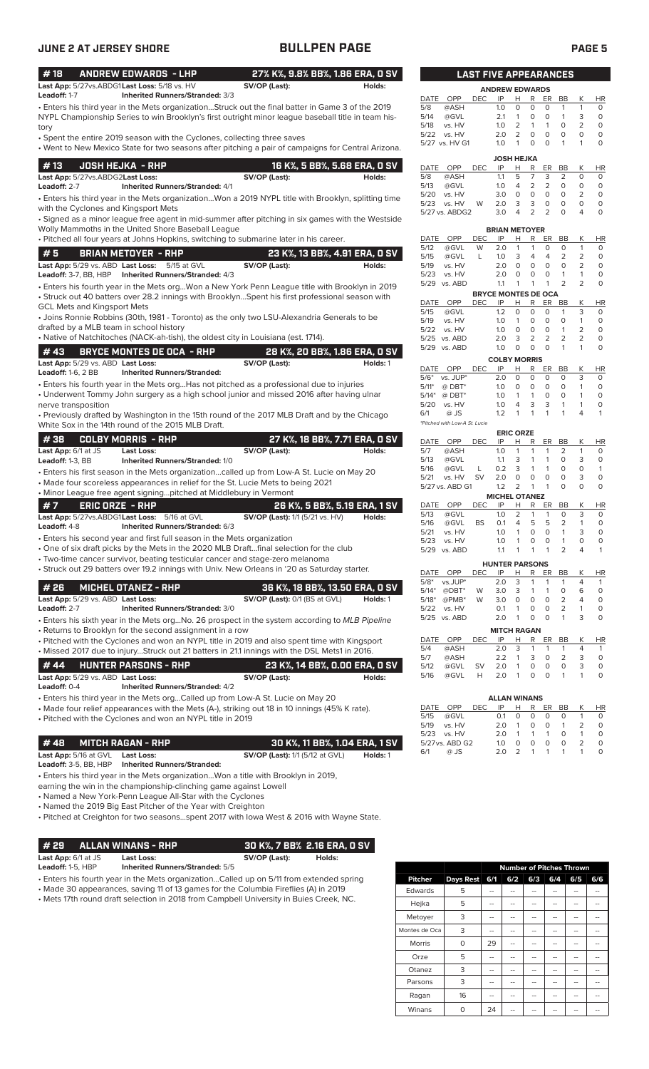| <b>JUNE 2 AT JERSEY SHORE</b>                                                                                                                                                                                                                                                                                                                                                                                                                |                                                         | <b>BULLPEN PAGE</b>                    |          |                                      |                        |            |                              |                              |                                |                                                                         |                                | <b>PAGE 5</b>                 |
|----------------------------------------------------------------------------------------------------------------------------------------------------------------------------------------------------------------------------------------------------------------------------------------------------------------------------------------------------------------------------------------------------------------------------------------------|---------------------------------------------------------|----------------------------------------|----------|--------------------------------------|------------------------|------------|------------------------------|------------------------------|--------------------------------|-------------------------------------------------------------------------|--------------------------------|-------------------------------|
| #18<br><b>ANDREW EDWARDS - LHP</b>                                                                                                                                                                                                                                                                                                                                                                                                           |                                                         | 27% K%, 9.8% BB%, 1.86 ERA, 0 SV       |          |                                      |                        |            | <b>LAST FIVE APPEARANCES</b> |                              |                                |                                                                         |                                |                               |
| Last App: 5/27vs.ABDG1Last Loss: 5/18 vs. HV<br>Leadoff: 1-7                                                                                                                                                                                                                                                                                                                                                                                 | SV/OP (Last):<br>Inherited Runners/Stranded: 3/3        |                                        | Holds:   | DATE<br>OPP                          |                        | <b>DEC</b> | <b>ANDREW EDWARDS</b><br>IP  | H R                          |                                | ER.<br>BB                                                               | K                              | <b>HR</b>                     |
| • Enters his third year in the Mets organizationStruck out the final batter in Game 3 of the 2019<br>NYPL Championship Series to win Brooklyn's first outright minor league baseball title in team his-                                                                                                                                                                                                                                      |                                                         |                                        |          | 5/8<br>5/14<br>5/18                  | @ASH<br>@GVL<br>vs. HV |            | 1.0<br>2.1<br>1.0            | $\circ$<br>$\mathbf{1}$<br>2 | $\circ$<br>0<br>$\mathbf{1}$   | 0<br>$\mathbf{1}$<br>$\circ$<br>$\mathbf{1}$<br>$\mathbf{1}$<br>$\circ$ | $\mathbf{1}$<br>3<br>2         | $\circ$<br>$\circ$<br>$\circ$ |
| tory<br>• Spent the entire 2019 season with the Cyclones, collecting three saves<br>• Went to New Mexico State for two seasons after pitching a pair of campaigns for Central Arizona.                                                                                                                                                                                                                                                       |                                                         |                                        |          | 5/22 vs. HV<br>5/27 vs. HV G1        |                        |            | 2.0<br>1.0                   | 2<br>$\overline{1}$          | 0<br>$\circ$                   | $\circ$<br>$\circ$<br>$\circ$<br>$\mathbf{1}$                           | 0<br>$\mathbf{1}$              | $\circ$<br>$\circ$            |
| #13<br><b>JOSH HEJKA - RHP</b>                                                                                                                                                                                                                                                                                                                                                                                                               |                                                         | 16 K%, 5 BB%, 5.68 ERA, 0 SV           |          | DATE OPP                             |                        | <b>DEC</b> | <b>JOSH HEJKA</b><br>IP      | н                            | R                              | ER<br>BB                                                                | K                              | <b>HR</b>                     |
| Last App: 5/27vs.ABDG2Last Loss:                                                                                                                                                                                                                                                                                                                                                                                                             | SV/OP (Last):                                           |                                        | Holds:   | 5/8                                  | @ASH                   |            | 1.1                          | 5                            | $\overline{7}$                 | 3<br>2                                                                  | $\circ$                        | 0                             |
| Leadoff: 2-7<br>. Enters his third year in the Mets organizationWon a 2019 NYPL title with Brooklyn, splitting time                                                                                                                                                                                                                                                                                                                          | <b>Inherited Runners/Stranded: 4/1</b>                  |                                        |          | 5/13<br>5/20                         | @GVL<br>vs. HV         |            | 1.0<br>3.0                   | $\overline{4}$<br>$\circ$    | 2<br>$\circ$                   | 2<br>$\circ$<br>$\circ$<br>$\circ$                                      | $\circ$<br>$\overline{2}$      | $\circ$<br>$\mathsf O$        |
| with the Cyclones and Kingsport Mets                                                                                                                                                                                                                                                                                                                                                                                                         |                                                         |                                        |          | 5/23<br>5/27 vs. ABDG2               | vs. HV                 | W          | 2.0<br>3.0                   | 3<br>$\overline{4}$          | 3<br>$\overline{2}$            | $\circ$<br>0<br>$\overline{2}$<br>$\Omega$                              | $\circ$<br>4                   | $\mathsf O$<br>$\circ$        |
| • Signed as a minor league free agent in mid-summer after pitching in six games with the Westside                                                                                                                                                                                                                                                                                                                                            |                                                         |                                        |          |                                      |                        |            |                              |                              |                                |                                                                         |                                |                               |
| Wolly Mammoths in the United Shore Baseball League<br>. Pitched all four years at Johns Hopkins, switching to submarine later in his career.                                                                                                                                                                                                                                                                                                 |                                                         |                                        |          | DATE OPP                             |                        | <b>DEC</b> | <b>BRIAN METOYER</b><br>IP   | H                            | R                              | ER.<br>BB                                                               | Κ                              | <b>HR</b>                     |
| #5<br><b>BRIAN METOYER - RHP</b>                                                                                                                                                                                                                                                                                                                                                                                                             |                                                         | 23 K%, 13 BB%, 4.91 ERA, 0 SV          |          | 5/12<br>5/15                         | @GVL<br>@GVL           | W<br>L     | 2.0<br>1.0                   | $\mathbf{1}$<br>3            | $\mathbf{1}$<br>$\overline{4}$ | $\mathbf 0$<br>$\circ$<br>2<br>$\overline{4}$                           | $\mathbf{1}$<br>$\overline{2}$ | $\circ$<br>$\circ$            |
| Last App: 5/29 vs. ABD Last Loss: 5/15 at GVL                                                                                                                                                                                                                                                                                                                                                                                                | SV/OP (Last):                                           |                                        | Holds:   | 5/19                                 | vs. HV                 |            | 2.0                          | $\circ$                      | $\mathsf O$                    | $\circ$<br>$\circ$                                                      | 2                              | $\circ$                       |
| Leadoff: 3-7, BB, HBP                                                                                                                                                                                                                                                                                                                                                                                                                        | <b>Inherited Runners/Stranded: 4/3</b>                  |                                        |          | 5/23<br>vs. HV<br>5/29 vs. ABD       |                        |            | 2.0<br>1.1                   | $\circ$<br>1                 | $\circ$<br>$\mathbf{1}$        | $\circ$<br>$\overline{1}$<br>2<br>$\mathbf{1}$                          | $\mathbf{1}$<br>$\overline{2}$ | $\circ$<br>$\circ$            |
| . Enters his fourth year in the Mets orgWon a New York Penn League title with Brooklyn in 2019<br>• Struck out 40 batters over 28.2 innings with BrooklynSpent his first professional season with                                                                                                                                                                                                                                            |                                                         |                                        |          |                                      |                        |            | <b>BRYCE MONTES DE OCA</b>   |                              |                                |                                                                         |                                |                               |
| <b>GCL Mets and Kingsport Mets</b>                                                                                                                                                                                                                                                                                                                                                                                                           |                                                         |                                        |          | DATE OPP<br>5/15                     | @GVL                   | DEC.       | IP<br>1.2                    | H<br>$\circ$                 | R<br>$\circ$                   | ER<br>BB<br>$\circ$<br>$\mathbf{1}$                                     | К<br>3                         | HR<br>$\circ$                 |
| • Joins Ronnie Robbins (30th, 1981 - Toronto) as the only two LSU-Alexandria Generals to be                                                                                                                                                                                                                                                                                                                                                  |                                                         |                                        |          | 5/19                                 | vs. HV                 |            | 1.0                          | $\mathbf{1}$                 | 0                              | $\circ$<br>$\circ$                                                      | 1                              | $\circ$                       |
| drafted by a MLB team in school history<br>• Native of Natchitoches (NACK-ah-tish), the oldest city in Louisiana (est. 1714).                                                                                                                                                                                                                                                                                                                |                                                         |                                        |          | 5/22<br>5/25 vs. ABD                 | vs. HV                 |            | 1.0<br>2.0                   | $\circ$<br>3                 | $\mathsf O$<br>2               | $\mathbf 0$<br>$\mathbf{1}$<br>$\overline{2}$<br>2                      | 2<br>2                         | $\circ$<br>$\circ$            |
| #43<br><b>BRYCE MONTES DE OCA - RHP</b>                                                                                                                                                                                                                                                                                                                                                                                                      |                                                         | 28 K%, 20 BB%, 1.86 ERA, 0 SV          |          | 5/29 vs. ABD                         |                        |            | 1.0                          | $\circ$                      | $\circ$                        | $\Omega$<br>$\mathbf{1}$                                                | 1                              | $\circ$                       |
| Last App: 5/29 vs. ABD Last Loss:                                                                                                                                                                                                                                                                                                                                                                                                            | SV/OP (Last):                                           |                                        | Holds: 1 | DATE OPP                             |                        | <b>DEC</b> | <b>COLBY MORRIS</b><br>IP    | н                            | R                              | ER<br>BB                                                                | K                              | <b>HR</b>                     |
| <b>Leadoff: 1-6, 2 BB</b>                                                                                                                                                                                                                                                                                                                                                                                                                    | <b>Inherited Runners/Stranded:</b>                      |                                        |          | $5/6^*$ vs. JUP*                     |                        |            | 2.0                          | $\circ$                      | 0                              | $\circ$<br>$\circ$                                                      | 3                              | $\circ$                       |
| • Enters his fourth year in the Mets org Has not pitched as a professional due to injuries<br>• Underwent Tommy John surgery as a high school junior and missed 2016 after having ulnar                                                                                                                                                                                                                                                      |                                                         |                                        |          | $5/11*$<br>$5/14*$                   | $@$ DBT*<br>@ DBT*     |            | 1.0<br>1.0                   | $\circ$<br>$\mathbf{1}$      | $\mathsf O$<br>$\mathbf{1}$    | $\circ$<br>$\circ$<br>$\circ$<br>$\circ$                                | $\mathbf{1}$<br>1              | $\circ$<br>$\circ$            |
| nerve transposition                                                                                                                                                                                                                                                                                                                                                                                                                          |                                                         |                                        |          | 5/20                                 | vs. HV                 |            | 1.0                          | $\overline{4}$               | 3                              | 3<br>$\mathbf{1}$                                                       | 1                              | $\circ$                       |
| • Previously drafted by Washington in the 15th round of the 2017 MLB Draft and by the Chicago<br>White Sox in the 14th round of the 2015 MLB Draft.                                                                                                                                                                                                                                                                                          |                                                         |                                        |          | 6/1<br>*Pitched with Low-A St. Lucie | @ JS                   |            | 1.2                          | $\mathbf{1}$                 | $\mathbf{1}$                   | $\mathbf{1}$<br>1                                                       | 4                              | $\mathbf{1}$                  |
| #38<br><b>COLBY MORRIS - RHP</b>                                                                                                                                                                                                                                                                                                                                                                                                             |                                                         | 27 K%, 18 BB%, 7.71 ERA, 0 SV          |          |                                      |                        |            | <b>ERIC ORZE</b>             |                              |                                |                                                                         |                                |                               |
| Last App: 6/1 at JS<br><b>Last Loss:</b>                                                                                                                                                                                                                                                                                                                                                                                                     | SV/OP (Last):                                           |                                        | Holds:   | DATE OPP<br>5/7                      | @ASH                   | <b>DEC</b> | IP<br>1.0                    | н<br>$\mathbf{1}$            | R<br>$\mathbf{1}$              | ER<br>BB<br>2<br>$\mathbf{1}$                                           | К<br>$\mathbf{1}$              | HR<br>$\circ$                 |
| Leadoff: 1-3, BB                                                                                                                                                                                                                                                                                                                                                                                                                             | Inherited Runners/Stranded: 1/0                         |                                        |          | 5/13                                 | @GVL                   |            | 1.1                          | 3                            | $\mathbf{1}$                   | $\circ$<br>$\mathbf{1}$                                                 | 3                              | $\circ$                       |
| • Enters his first season in the Mets organizationcalled up from Low-A St. Lucie on May 20                                                                                                                                                                                                                                                                                                                                                   |                                                         |                                        |          | 5/16<br>5/21                         | @GVL<br>vs. HV         | L<br>SV    | 0.2<br>2.0                   | 3<br>$\circ$                 | $\mathbf{1}$<br>$\circ$        | $\mathbf{1}$<br>$\circ$<br>$\circ$<br>$\circ$                           | $\circ$<br>3                   | $\mathbf{1}$<br>$\mathsf O$   |
| • Made four scoreless appearances in relief for the St. Lucie Mets to being 2021<br>• Minor League free agent signingpitched at Middlebury in Vermont                                                                                                                                                                                                                                                                                        |                                                         |                                        |          | 5/27 vs. ABD G1                      |                        |            | 1.2                          | 2                            | $\overline{\phantom{0}}$       | $\mathbf 0$<br>$\mathbf{1}$                                             | 0                              | $\circ$                       |
| #7<br><b>ERIC ORZE - RHP</b>                                                                                                                                                                                                                                                                                                                                                                                                                 |                                                         | 26 K%, 5 BB%, 5.19 ERA, 1 SV           |          | DATE OPP                             |                        | <b>DEC</b> | <b>MICHEL OTANEZ</b><br>IP   | н                            | R                              | ER<br>BB                                                                | Κ                              | <b>HR</b>                     |
| Last App: 5/27vs.ABDG1Last Loss: 5/16 at GVL                                                                                                                                                                                                                                                                                                                                                                                                 |                                                         | <b>SV/OP (Last):</b> 1/1 (5/21 vs. HV) | Holds:   | 5/13<br>5/16                         | @GVL<br>@GVL           | <b>BS</b>  | 1.0<br>0.1                   | $\overline{2}$<br>4          | 1<br>5                         | 0<br>1<br>5                                                             | 3<br>2<br>1                    | $\circ$<br>$\circ$            |
| Leadoff: 4-8                                                                                                                                                                                                                                                                                                                                                                                                                                 | Inherited Runners/Stranded: 6/3                         |                                        |          | 5/21                                 | vs. HV                 |            | 1.0                          | $\mathbf{1}$                 | 0                              | 0<br>1                                                                  | 3                              | $\mathsf O$                   |
| • Enters his second year and first full season in the Mets organization<br>. One of six draft picks by the Mets in the 2020 MLB Draftfinal selection for the club                                                                                                                                                                                                                                                                            |                                                         |                                        |          | 5/23<br>5/29 vs. ABD                 | vs. HV                 |            | 1.0<br>1.1                   | $\mathbf{1}$<br>1            | $\mathbf 0$<br>$\mathbf{1}$    | 0<br>$\mathbf{1}$<br>$\overline{2}$<br>$\mathbf{1}$                     | $\circ$<br>4                   | $\mathsf O$<br>$\mathbf{1}$   |
| • Two-time cancer survivor, beating testicular cancer and stage-zero melanoma                                                                                                                                                                                                                                                                                                                                                                |                                                         |                                        |          |                                      |                        |            | <b>HUNTER PARSONS</b>        |                              |                                |                                                                         |                                |                               |
| • Struck out 29 batters over 19.2 innings with Univ. New Orleans in '20 as Saturday starter.                                                                                                                                                                                                                                                                                                                                                 |                                                         |                                        |          | DATE                                 | OPP                    | DEC        | IP                           | Н                            | R                              | ER<br>BB                                                                | К                              | HR                            |
| #26<br><b>MICHEL OTANEZ - RHP</b>                                                                                                                                                                                                                                                                                                                                                                                                            |                                                         | 36 K%, 18 BB%, 13.50 ERA, 0 SV         |          | $5/8*$<br>$5/14*$                    | vs.JUP*<br>@DBT*       | W          | 2.0<br>3.0                   | 3<br>3                       | 1<br>$\mathbf{1}$              | 1<br>1<br>$\mathsf O$<br>1                                              | 4<br>6                         | $\mathbf{1}$<br>$\circ$       |
| Last App: 5/29 vs. ABD Last Loss:<br>Leadoff: 2-7                                                                                                                                                                                                                                                                                                                                                                                            | <b>Inherited Runners/Stranded: 3/0</b>                  | SV/OP (Last): 0/1 (BS at GVL)          | Holds: 1 | $5/18*$<br>5/22                      | @PMB*<br>vs. HV        | W          | 3.0<br>0.1                   | $\mathbf 0$<br>$\mathbf{1}$  | 0<br>0                         | 0<br>2<br>0<br>2                                                        | 4<br>1                         | $\circ$<br>$\circ$            |
| • Enters his sixth year in the Mets orgNo. 26 prospect in the system according to MLB Pipeline                                                                                                                                                                                                                                                                                                                                               |                                                         |                                        |          | 5/25 vs. ABD                         |                        |            | 2.0                          | $\mathbf{1}$                 | 0                              | $\circ$<br>$\mathbf{1}$                                                 | 3                              | 0                             |
| • Returns to Brooklyn for the second assignment in a row                                                                                                                                                                                                                                                                                                                                                                                     |                                                         |                                        |          |                                      |                        |            | <b>MITCH RAGAN</b>           |                              |                                |                                                                         |                                |                               |
| • Pitched with the Cyclones and won an NYPL title in 2019 and also spent time with Kingsport                                                                                                                                                                                                                                                                                                                                                 |                                                         |                                        |          | DATE OPP<br>5/4                      | @ASH                   | <b>DEC</b> | IP<br>2.0                    | Н<br>3                       | R<br>$\mathbf{1}$              | ER BB<br>$\mathbf{1}$<br>$\mathbf{1}$                                   | Κ<br>4                         | <b>HR</b><br>$\mathbf{1}$     |
|                                                                                                                                                                                                                                                                                                                                                                                                                                              |                                                         | 23 K%, 14 BB%, 0.00 ERA, 0 SV          |          | 5/7<br>5/12                          | @ASH<br>@GVL           |            | 2.2                          | 1<br>1                       | 3                              | 0                                                                       | 2<br>3                         | $\circ$                       |
|                                                                                                                                                                                                                                                                                                                                                                                                                                              |                                                         |                                        |          |                                      |                        | <b>SV</b>  | 2.0<br>2.0                   | $\mathbf{1}$                 | $\mathbf 0$<br>$\mathbf 0$     | 0<br>$\circ$<br>$\circ$<br>$\mathbf{1}$                                 | 3<br>$\mathbf{1}$              | $\mathsf O$<br>$\circ$        |
| <b>HUNTER PARSONS - RHP</b>                                                                                                                                                                                                                                                                                                                                                                                                                  |                                                         |                                        | Holds:   | 5/16                                 | @GVL                   | Н          |                              |                              |                                |                                                                         |                                |                               |
|                                                                                                                                                                                                                                                                                                                                                                                                                                              | SV/OP (Last):<br><b>Inherited Runners/Stranded: 4/2</b> |                                        |          |                                      |                        |            |                              |                              |                                |                                                                         |                                |                               |
| . Missed 2017 due to injuryStruck out 21 batters in 21.1 innings with the DSL Mets1 in 2016.<br># 44<br>Last App: 5/29 vs. ABD Last Loss:<br>Leadoff: 0-4<br>• Enters his third year in the Mets orgCalled up from Low-A St. Lucie on May 20                                                                                                                                                                                                 |                                                         |                                        |          |                                      |                        |            | <b>ALLAN WINANS</b>          |                              |                                |                                                                         |                                |                               |
|                                                                                                                                                                                                                                                                                                                                                                                                                                              |                                                         |                                        |          | DATE<br>5/15                         | OPP<br>@GVL            | <b>DEC</b> | IP<br>0.1                    | Н<br>$\circ$                 | R<br>0                         | ER<br>BB<br>0<br>$\circ$                                                | Κ<br>$\mathbf{1}$              | HR<br>$\circ$                 |
|                                                                                                                                                                                                                                                                                                                                                                                                                                              |                                                         |                                        |          | 5/19                                 | vs. HV                 |            | 2.0                          | 1                            | 0                              | $\mathbf{1}$<br>0                                                       | 2                              | $\circ$                       |
| <b>MITCH RAGAN - RHP</b>                                                                                                                                                                                                                                                                                                                                                                                                                     |                                                         | 30 K%, 11 BB%, 1.04 ERA, 1 SV          |          | 5/23<br>vs. HV<br>5/27 vs. ABD G2    |                        |            | 2.0<br>1.0                   | $\mathbf{1}$<br>0            | 1<br>0                         | $\mathbf{1}$<br>$\circ$<br>$\mathsf O$<br>$\circ$                       | $\mathbf{1}$<br>2              | $\circ$<br>$\circ$            |
| <b>Last Loss:</b>                                                                                                                                                                                                                                                                                                                                                                                                                            |                                                         | <b>SV/OP (Last):</b> 1/1 (5/12 at GVL) | Holds: 1 | 6/1                                  | @ JS                   |            | 2.0                          | 2                            | $\mathbf{1}$                   | $\mathbf{1}$<br>$\mathbf{1}$                                            | $\mathbf{1}$                   | $\circ$                       |
|                                                                                                                                                                                                                                                                                                                                                                                                                                              | <b>Inherited Runners/Stranded:</b>                      |                                        |          |                                      |                        |            |                              |                              |                                |                                                                         |                                |                               |
|                                                                                                                                                                                                                                                                                                                                                                                                                                              |                                                         |                                        |          |                                      |                        |            |                              |                              |                                |                                                                         |                                |                               |
| • Made four relief appearances with the Mets (A-), striking out 18 in 10 innings (45% K rate).<br>• Pitched with the Cyclones and won an NYPL title in 2019<br>#48<br>Last App: 5/16 at GVL<br>Leadoff: 3-5, BB, HBP<br>. Enters his third year in the Mets organizationWon a title with Brooklyn in 2019,<br>earning the win in the championship-clinching game against Lowell<br>• Named a New York-Penn League All-Star with the Cyclones |                                                         |                                        |          |                                      |                        |            |                              |                              |                                |                                                                         |                                |                               |
| • Named the 2019 Big East Pitcher of the Year with Creighton                                                                                                                                                                                                                                                                                                                                                                                 |                                                         |                                        |          |                                      |                        |            |                              |                              |                                |                                                                         |                                |                               |
|                                                                                                                                                                                                                                                                                                                                                                                                                                              |                                                         |                                        |          |                                      |                        |            |                              |                              |                                |                                                                         |                                |                               |
|                                                                                                                                                                                                                                                                                                                                                                                                                                              |                                                         |                                        |          |                                      |                        |            |                              |                              |                                |                                                                         |                                |                               |
| . Pitched at Creighton for two seasonsspent 2017 with lowa West & 2016 with Wayne State.<br>#29<br><b>ALLAN WINANS - RHP</b><br>Last App: 6/1 at JS<br>Last Loss:                                                                                                                                                                                                                                                                            | SV/OP (Last):                                           | 30 K%, 7 BB% 2.16 ERA, 0 SV<br>Holds:  |          |                                      |                        |            |                              |                              |                                |                                                                         |                                |                               |

• Made 30 appearances, saving 11 of 13 games for the Columbia Fireflies (A) in 2019

• Mets 17th round draft selection in 2018 from Campbell University in Buies Creek, NC.

|                |                  | <b>Number of Pitches Thrown</b> |     |     |     |     |     |  |  |
|----------------|------------------|---------------------------------|-----|-----|-----|-----|-----|--|--|
| <b>Pitcher</b> | <b>Days Rest</b> | 6/1                             | 6/2 | 6/3 | 6/4 | 6/5 | 6/6 |  |  |
| Edwards        | 5                |                                 |     |     |     |     |     |  |  |
| Hejka          | 5                | --                              | --  | --  |     | --  |     |  |  |
| Metoyer        | 3                | --                              | --  | --  | --  |     |     |  |  |
| Montes de Oca  | 3                | --                              | --  | --  | --  | --  |     |  |  |
| Morris         | 0                | 29                              |     |     |     |     |     |  |  |
| Orze           | 5                | --                              | --  | --  | --  |     |     |  |  |
| Otanez         | 3                | --                              | -   | --  | --  |     |     |  |  |
| Parsons        | 3                |                                 |     | --  |     |     |     |  |  |
| Ragan          | 16               | --                              |     |     |     |     |     |  |  |
| Winans         | 0                | 24                              |     |     |     |     |     |  |  |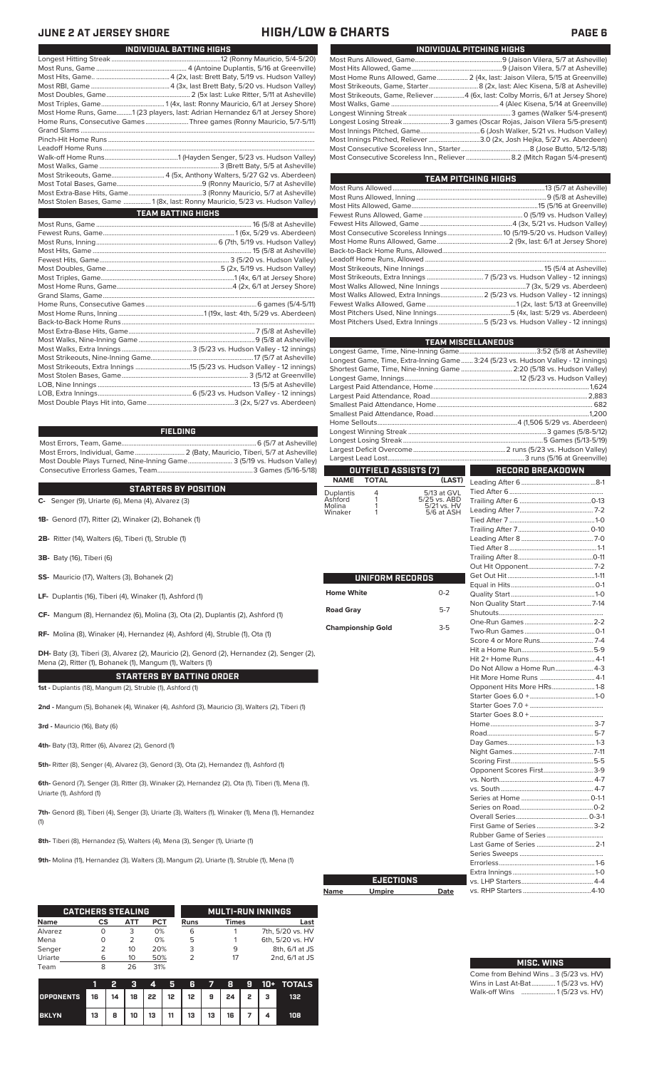## **JUNE 2 AT JERSEY SHORE HIGH/LOW & CHARTS PAGE 6**

| INDIVIDUAL PITCHING HIGHS                                                      |
|--------------------------------------------------------------------------------|
|                                                                                |
|                                                                                |
| Most Home Runs Allowed, Game 2 (4x, last: Jaison Vilera, 5/15 at Greenville)   |
|                                                                                |
| Most Strikeouts, Game, Reliever4 (6x, last: Colby Morris, 6/1 at Jersey Shore) |
|                                                                                |
|                                                                                |
| Longest Losing Streak3 games (Oscar Rojas, Jaison Vilera 5/5-present)          |
|                                                                                |
| Most Innings Pitched, Reliever 3.0 (2x, Josh Hejka, 5/27 vs. Aberdeen)         |
|                                                                                |
| Most Consecutive Scoreless Inn., Reliever  8.2 (Mitch Ragan 5/4-present)       |

| <b>TEAM PITCHING HIGHS</b>                                                |  |
|---------------------------------------------------------------------------|--|
|                                                                           |  |
|                                                                           |  |
|                                                                           |  |
|                                                                           |  |
|                                                                           |  |
|                                                                           |  |
|                                                                           |  |
|                                                                           |  |
|                                                                           |  |
|                                                                           |  |
|                                                                           |  |
|                                                                           |  |
| Most Walks Allowed, Extra Innings 2 (5/23 vs. Hudson Valley - 12 innings) |  |
|                                                                           |  |
|                                                                           |  |
| Most Pitchers Used, Extra Innings5 (5/23 vs. Hudson Valley - 12 innings)  |  |

|                   |                          |                             | <b>TEAM MISCELLANEOUS</b>                                                        |  |  |  |  |  |  |
|-------------------|--------------------------|-----------------------------|----------------------------------------------------------------------------------|--|--|--|--|--|--|
|                   |                          |                             |                                                                                  |  |  |  |  |  |  |
|                   |                          |                             | Longest Game, Time, Extra-Inning Game 3:24 (5/23 vs. Hudson Valley - 12 innings) |  |  |  |  |  |  |
|                   |                          |                             | Shortest Game, Time, Nine-Inning Game  2:20 (5/18 vs. Hudson Valley)             |  |  |  |  |  |  |
|                   |                          |                             |                                                                                  |  |  |  |  |  |  |
|                   |                          |                             |                                                                                  |  |  |  |  |  |  |
|                   |                          |                             |                                                                                  |  |  |  |  |  |  |
|                   |                          |                             |                                                                                  |  |  |  |  |  |  |
|                   |                          |                             |                                                                                  |  |  |  |  |  |  |
|                   |                          |                             |                                                                                  |  |  |  |  |  |  |
|                   |                          |                             |                                                                                  |  |  |  |  |  |  |
|                   |                          |                             |                                                                                  |  |  |  |  |  |  |
|                   |                          |                             |                                                                                  |  |  |  |  |  |  |
|                   | OUTFIELD ASSISTS (7)     |                             | <b>RECORD BREAKDOWN</b>                                                          |  |  |  |  |  |  |
| <b>NAME</b>       | <b>TOTAL</b>             | (LAST)                      |                                                                                  |  |  |  |  |  |  |
| Duplantis         | 4                        | 5/13 at GVL                 |                                                                                  |  |  |  |  |  |  |
| Ashford<br>Molina | 1<br>1                   | 5/25 vs. ABD<br>5/21 vs. HV |                                                                                  |  |  |  |  |  |  |
| Winaker           | 1                        | 5/6 at ASH                  |                                                                                  |  |  |  |  |  |  |
|                   |                          |                             |                                                                                  |  |  |  |  |  |  |
|                   |                          |                             |                                                                                  |  |  |  |  |  |  |
|                   |                          |                             |                                                                                  |  |  |  |  |  |  |
|                   |                          |                             |                                                                                  |  |  |  |  |  |  |
|                   |                          |                             |                                                                                  |  |  |  |  |  |  |
|                   |                          |                             |                                                                                  |  |  |  |  |  |  |
|                   | UNIFORM RECORDS          |                             |                                                                                  |  |  |  |  |  |  |
| <b>Home White</b> |                          | $0 - 2$                     |                                                                                  |  |  |  |  |  |  |
|                   |                          |                             |                                                                                  |  |  |  |  |  |  |
| <b>Road Gray</b>  | $5 - 7$                  |                             |                                                                                  |  |  |  |  |  |  |
|                   |                          |                             |                                                                                  |  |  |  |  |  |  |
|                   | <b>Championship Gold</b> | $3 - 5$                     |                                                                                  |  |  |  |  |  |  |
|                   |                          |                             |                                                                                  |  |  |  |  |  |  |
|                   |                          |                             |                                                                                  |  |  |  |  |  |  |
|                   |                          |                             |                                                                                  |  |  |  |  |  |  |
|                   |                          |                             | Do Not Allow a Home Run 4-3                                                      |  |  |  |  |  |  |
|                   |                          |                             | Hit More Home Runs  4-1                                                          |  |  |  |  |  |  |
|                   |                          |                             | Opponent Hits More HRs1-8                                                        |  |  |  |  |  |  |
|                   |                          |                             |                                                                                  |  |  |  |  |  |  |
|                   |                          |                             |                                                                                  |  |  |  |  |  |  |
|                   |                          |                             |                                                                                  |  |  |  |  |  |  |
|                   |                          |                             |                                                                                  |  |  |  |  |  |  |
|                   |                          |                             |                                                                                  |  |  |  |  |  |  |
|                   |                          |                             |                                                                                  |  |  |  |  |  |  |
|                   |                          |                             |                                                                                  |  |  |  |  |  |  |
|                   |                          |                             |                                                                                  |  |  |  |  |  |  |
|                   |                          |                             | Opponent Scores First3-9                                                         |  |  |  |  |  |  |
|                   |                          |                             |                                                                                  |  |  |  |  |  |  |
|                   |                          |                             |                                                                                  |  |  |  |  |  |  |
|                   |                          |                             |                                                                                  |  |  |  |  |  |  |
|                   |                          |                             |                                                                                  |  |  |  |  |  |  |
|                   |                          |                             |                                                                                  |  |  |  |  |  |  |
|                   |                          |                             |                                                                                  |  |  |  |  |  |  |
|                   |                          |                             | Last Game of Series  2-1                                                         |  |  |  |  |  |  |
|                   |                          |                             |                                                                                  |  |  |  |  |  |  |
|                   |                          |                             |                                                                                  |  |  |  |  |  |  |
|                   |                          |                             |                                                                                  |  |  |  |  |  |  |
|                   | <b>EJECTIONS</b>         |                             |                                                                                  |  |  |  |  |  |  |
| Name              | <b>Umpire</b>            | Date                        |                                                                                  |  |  |  |  |  |  |
|                   |                          |                             |                                                                                  |  |  |  |  |  |  |

| Name | <b>Umpire</b> | Date |
|------|---------------|------|
|      |               |      |

| <b>MISC. WINS</b>                      |
|----------------------------------------|
| Come from Behind Wins  3 (5/23 vs. HV) |
| Wins in Last At-Bat 1(5/23 vs. HV)     |
| Walk-off Wins  1(5/23 vs. HV)          |

| Most Home Runs, Game1 (23 players, last: Adrian Hernandez 6/1 at Jersey Shore) |
|--------------------------------------------------------------------------------|
| Home Runs, Consecutive Games Three games (Ronny Mauricio, 5/7-5/11)            |
|                                                                                |
|                                                                                |
|                                                                                |
|                                                                                |
|                                                                                |
|                                                                                |
|                                                                                |
|                                                                                |
| Most Stolen Bases, Game  1 (8x, last: Ronny Mauricio, 5/23 vs. Hudson Valley)  |
| <b>TEAM BATTING HIGHS</b>                                                      |
|                                                                                |
|                                                                                |
|                                                                                |
|                                                                                |
|                                                                                |
|                                                                                |
|                                                                                |
|                                                                                |
|                                                                                |
|                                                                                |
|                                                                                |
|                                                                                |
|                                                                                |
|                                                                                |
|                                                                                |
|                                                                                |
|                                                                                |
|                                                                                |
|                                                                                |
|                                                                                |
|                                                                                |

Longest Hitting Streak ................................................................12 (Ronny Mauricio, 5/4-5/20) Most Runs, Game ..................................................... 4 (Antoine Duplantis, 5/16 at Greenville) Most Hits, Game.. ...........................................4 (2x, last: Brett Baty, 5/19 vs. Hudson Valley) Most RBI, Game ..............................................4 (3x, last Brett Baty, 5/20 vs. Hudson Valley)

**INDIVIDUAL BATTING HIGHS**

**FIELDING**

Most Errors, Team, Game...............................................................................6 (5/7 at Asheville) .<br>2 (Baty, Mauricio, Tiberi, 5/7 at Asheville)<br>e........................... 3 (5/19 vs. Hudson Valley) Most Double Plays Turned, Nine-Inning Game.......................... 3 (5/19 vs. Hudson Valley) Consecutive Errorless Games, Team.

### **STARTERS BY POSITION**

**C-** Senger (9), Uriarte (6), Mena (4), Alvarez (3)

- **1B-** Genord (17), Ritter (2), Winaker (2), Bohanek (1)
- **2B-** Ritter (14), Walters (6), Tiberi (1), Struble (1)
- **3B-** Baty (16), Tiberi (6)
- **SS-** Mauricio (17), Walters (3), Bohanek (2)
- **LF-** Duplantis (16), Tiberi (4), Winaker (1), Ashford (1)
- **CF-** Mangum (8), Hernandez (6), Molina (3), Ota (2), Duplantis (2), Ashford (1)

**RF-** Molina (8), Winaker (4), Hernandez (4), Ashford (4), Struble (1), Ota (1)

**DH-** Baty (3), Tiberi (3), Alvarez (2), Mauricio (2), Genord (2), Hernandez (2), Senger (2), Mena (2), Ritter (1), Bohanek (1), Mangum (1), Walters (1)

**STARTERS BY BATTING ORDER**

**1st -** Duplantis (18), Mangum (2), Struble (1), Ashford (1)

**2nd -** Mangum (5), Bohanek (4), Winaker (4), Ashford (3), Mauricio (3), Walters (2), Tiberi (1)

**3rd -** Mauricio (16), Baty (6)

**4th-** Baty (13), Ritter (6), Alvarez (2), Genord (1)

**5th-** Ritter (8), Senger (4), Alvarez (3), Genord (3), Ota (2), Hernandez (1), Ashford (1)

**6th-** Genord (7), Senger (3), Ritter (3), Winaker (2), Hernandez (2), Ota (1), Tiberi (1), Mena (1), Uriarte (1), Ashford (1)

**7th-** Genord (8), Tiberi (4), Senger (3), Uriarte (3), Walters (1), Winaker (1), Mena (1), Hernandez (1)

**8th-** Tiberi (8), Hernandez (5), Walters (4), Mena (3), Senger (1), Uriarte (1)

**9th-** Molina (11), Hernandez (3), Walters (3), Mangum (2), Uriarte (1), Struble (1), Mena (1)

|             | <b>CATCHERS STEALING</b> |     |     | <b>MULTI-RUN INNINGS</b> |              |                  |  |  |  |
|-------------|--------------------------|-----|-----|--------------------------|--------------|------------------|--|--|--|
| <b>Name</b> | СS                       | АТТ | PCT | Runs                     | <b>Times</b> | Last             |  |  |  |
| Alvarez     |                          | 3   | 0%  | 6                        |              | 7th, 5/20 vs. HV |  |  |  |
| Mena        |                          | フ   | 0%  | 5                        |              | 6th, 5/20 vs. HV |  |  |  |
| Senger      |                          | 10  | 20% | 3                        | 9            | 8th, 6/1 at JS   |  |  |  |
| Uriarte     | 6                        | 10  | 50% |                          | 17           | 2nd, 6/1 at JS   |  |  |  |
| Team        | 8                        | 26  | 31% |                          |              |                  |  |  |  |

|              |    |   |    | 4  | ÆŦ | R                                     | $\overline{7}$ | -89 |  | 10+ TOTALS |
|--------------|----|---|----|----|----|---------------------------------------|----------------|-----|--|------------|
| OPPONENTS 16 |    |   |    |    |    | 14   18   22   12   12   9   24   2 3 |                |     |  | 132        |
| <b>BKLYN</b> | 13 | 8 | 10 | 13 | 11 | 13                                    | 13             | 16  |  | 108        |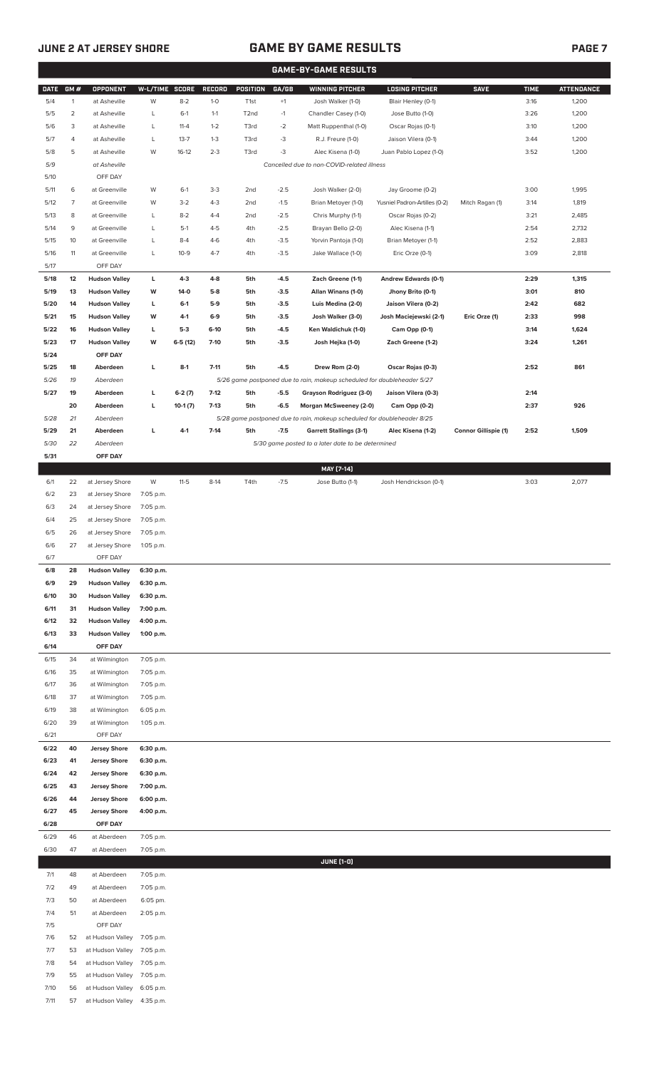# **JUNE 2 AT JERSEY SHORE GAME BY GAME RESULTS PAGE 7**

|              | <b>GAME-BY-GAME RESULTS</b> |                                              |                |           |                  |                   |                  |                                                                         |                                    |                             |              |                   |
|--------------|-----------------------------|----------------------------------------------|----------------|-----------|------------------|-------------------|------------------|-------------------------------------------------------------------------|------------------------------------|-----------------------------|--------------|-------------------|
| <b>DATE</b>  | GM#                         | <b>OPPONENT</b>                              | W-L/TIME SCORE |           | <b>RECORD</b>    | POSITION          | GA/GB            | <b>WINNING PITCHER</b>                                                  | <b>LOSING PITCHER</b>              | <b>SAVE</b>                 | <b>TIME</b>  | <b>ATTENDANCE</b> |
| 5/4          | $\mathbf{1}$                | at Asheville                                 | W              | $8 - 2$   | $1 - 0$          | T <sub>1st</sub>  | $^{\rm +1}$      | Josh Walker (1-0)                                                       | Blair Henley (0-1)                 |                             | 3:16         | 1,200             |
| 5/5          | $\overline{2}$              | at Asheville                                 | L              | $6-1$     | $1 - 1$          | T <sub>2</sub> nd | $-1$             | Chandler Casey (1-0)                                                    | Jose Butto (1-0)                   |                             | 3:26         | 1,200             |
| 5/6          | 3                           | at Asheville                                 | L              | $11 - 4$  | $1 - 2$          | T3rd              | $-2$             | Matt Ruppenthal (1-0)                                                   | Oscar Rojas (0-1)                  |                             | 3:10         | 1,200             |
| 5/7          | 4                           | at Asheville                                 | L              | $13 - 7$  | $1 - 3$          | T3rd              | -3               | R.J. Freure (1-0)                                                       | Jaison Vilera (0-1)                |                             | 3:44         | 1,200             |
| 5/8          | 5                           | at Asheville                                 | W              | $16-12$   | $2 - 3$          | T3rd              | -3               | Alec Kisena (1-0)                                                       | Juan Pablo Lopez (1-0)             |                             | 3:52         | 1,200             |
| 5/9          |                             | at Asheville                                 |                |           |                  |                   |                  | Cancelled due to non-COVID-related illness                              |                                    |                             |              |                   |
| 5/10         |                             | OFF DAY                                      |                |           |                  |                   |                  |                                                                         |                                    |                             |              |                   |
| 5/11         | 6                           | at Greenville                                | W              | $6-1$     | $3-3$            | 2 <sub>nd</sub>   | $-2.5$           | Josh Walker (2-0)                                                       | Jay Groome (0-2)                   |                             | 3:00         | 1,995             |
| 5/12         | 7                           | at Greenville                                | W              | $3 - 2$   | $4 - 3$          | 2 <sub>nd</sub>   | $-1.5$           | Brian Metoyer (1-0)                                                     | Yusniel Padron-Artilles (0-2)      | Mitch Ragan (1)             | 3:14         | 1,819             |
| 5/13         | 8                           | at Greenville                                | L              | $8 - 2$   | $4 - 4$          | 2 <sub>nd</sub>   | $-2.5$           | Chris Murphy (1-1)                                                      | Oscar Rojas (0-2)                  |                             | 3:21         | 2,485             |
| 5/14         | 9                           | at Greenville                                | L              | $5-1$     | $4 - 5$          | 4th               | $-2.5$           | Brayan Bello (2-0)                                                      | Alec Kisena (1-1)                  |                             | 2:54         | 2,732             |
| 5/15         | 10                          | at Greenville                                | L              | $8 - 4$   | $4-6$            | 4th               | $-3.5$           | Yorvin Pantoja (1-0)                                                    | Brian Metoyer (1-1)                |                             | 2:52         | 2,883             |
| 5/16         | 11                          | at Greenville                                | L              | $10-9$    | $4 - 7$          | 4th               | $-3.5$           | Jake Wallace (1-0)                                                      | Eric Orze (0-1)                    |                             | 3:09         | 2,818             |
| 5/17         |                             | OFF DAY                                      |                |           |                  |                   |                  |                                                                         |                                    |                             |              |                   |
| 5/18         | 12                          | <b>Hudson Valley</b>                         | L              | $4-3$     | $4 - 8$          | 5th               | $-4.5$           | Zach Greene (1-1)                                                       | Andrew Edwards (0-1)               |                             | 2:29         | 1,315             |
| 5/19         | 13                          | <b>Hudson Valley</b>                         | W              | $14-0$    | $5-8$            | 5th               | $-3.5$           | Allan Winans (1-0)                                                      | Jhony Brito (0-1)                  |                             | 3:01         | 810               |
| 5/20         | 14                          | <b>Hudson Valley</b>                         | L              | $6-1$     | 5-9              | 5th               | $-3.5$           | Luis Medina (2-0)                                                       | Jaison Vilera (0-2)                |                             | 2:42         | 682               |
| 5/21         | 15                          | <b>Hudson Valley</b>                         | W              | $4-1$     | 6-9              | 5th               | $-3.5$           | Josh Walker (3-0)<br>Ken Waldichuk (1-0)                                | Josh Maciejewski (2-1)             | Eric Orze (1)               | 2:33         | 998               |
| 5/22<br>5/23 | 16<br>17                    | <b>Hudson Valley</b><br><b>Hudson Valley</b> | L<br>W         | $5-3$     | $6-10$<br>$7-10$ | 5th               | $-4.5$<br>$-3.5$ |                                                                         | Cam Opp (0-1)<br>Zach Greene (1-2) |                             | 3:14<br>3:24 | 1,624<br>1,261    |
| 5/24         |                             | OFF DAY                                      |                | $6-5(12)$ |                  | 5th               |                  | Josh Hejka (1-0)                                                        |                                    |                             |              |                   |
| 5/25         | 18                          | Aberdeen                                     | L              | $8-1$     | $7 - 11$         | 5th               | $-4.5$           | Drew Rom (2-0)                                                          | Oscar Rojas (0-3)                  |                             | 2:52         | 861               |
| 5/26         | 19                          | Aberdeen                                     |                |           |                  |                   |                  | 5/26 game postponed due to rain, makeup scheduled for doubleheader 5/27 |                                    |                             |              |                   |
| 5/27         | 19                          | Aberdeen                                     | L              | $6-2(7)$  | $7-12$           | 5th               | $-5.5$           | Grayson Rodriguez (3-0)                                                 | Jaison Vilera (0-3)                |                             | 2:14         |                   |
|              | 20                          | Aberdeen                                     | L              | $10-1(7)$ | $7-13$           | 5th               | $-6.5$           | Morgan McSweeney (2-0)                                                  | Cam Opp (0-2)                      |                             | 2:37         | 926               |
| 5/28         | 21                          | Aberdeen                                     |                |           |                  |                   |                  | 5/28 game postponed due to rain, makeup scheduled for doubleheader 8/25 |                                    |                             |              |                   |
| 5/29         | 21                          | Aberdeen                                     | L              | $4-1$     | $7-14$           | 5th               | $-7.5$           | <b>Garrett Stallings (3-1)</b>                                          | Alec Kisena (1-2)                  | <b>Connor Gillispie (1)</b> | 2:52         | 1,509             |
| 5/30         | 22                          | Aberdeen                                     |                |           |                  |                   |                  | 5/30 game posted to a later date to be determined                       |                                    |                             |              |                   |
| 5/31         |                             | OFF DAY                                      |                |           |                  |                   |                  |                                                                         |                                    |                             |              |                   |
|              |                             |                                              |                |           |                  |                   |                  | MAY [7-14]                                                              |                                    |                             |              |                   |
| 6/1          | 22                          | at Jersey Shore                              | W              | $11-5$    | $8-14$           | T4th              | $-7.5$           | Jose Butto (1-1)                                                        | Josh Hendrickson (0-1)             |                             | 3:03         | 2,077             |
| 6/2          | 23                          | at Jersey Shore                              | 7:05 p.m.      |           |                  |                   |                  |                                                                         |                                    |                             |              |                   |
| 6/3          | 24                          | at Jersey Shore                              | 7:05 p.m.      |           |                  |                   |                  |                                                                         |                                    |                             |              |                   |
| 6/4          | 25                          | at Jersey Shore                              | 7:05 p.m.      |           |                  |                   |                  |                                                                         |                                    |                             |              |                   |
| 6/5          | 26                          | at Jersey Shore                              | 7:05 p.m.      |           |                  |                   |                  |                                                                         |                                    |                             |              |                   |
| 6/6          | 27                          | at Jersey Shore                              | 1:05 p.m.      |           |                  |                   |                  |                                                                         |                                    |                             |              |                   |
| 6/7          |                             | OFF DAY                                      |                |           |                  |                   |                  |                                                                         |                                    |                             |              |                   |
| 6/8          | 28                          | <b>Hudson Valley</b>                         | 6:30 p.m.      |           |                  |                   |                  |                                                                         |                                    |                             |              |                   |
| 6/9          | 29                          | <b>Hudson Valley</b>                         | 6:30 p.m.      |           |                  |                   |                  |                                                                         |                                    |                             |              |                   |
| 6/10         | 30                          | <b>Hudson Valley</b>                         | 6:30 p.m.      |           |                  |                   |                  |                                                                         |                                    |                             |              |                   |
| 6/11         | 31                          | <b>Hudson Valley</b>                         | 7:00 p.m.      |           |                  |                   |                  |                                                                         |                                    |                             |              |                   |
| 6/12         | 32                          | <b>Hudson Valley</b>                         | 4:00 p.m.      |           |                  |                   |                  |                                                                         |                                    |                             |              |                   |
| 6/13<br>6/14 | 33                          | <b>Hudson Valley</b><br>OFF DAY              | 1:00 p.m.      |           |                  |                   |                  |                                                                         |                                    |                             |              |                   |
| 6/15         | 34                          | at Wilmington                                | 7:05 p.m.      |           |                  |                   |                  |                                                                         |                                    |                             |              |                   |
| 6/16         | 35                          | at Wilmington                                | 7:05 p.m.      |           |                  |                   |                  |                                                                         |                                    |                             |              |                   |
| 6/17         | 36                          | at Wilmington                                | 7:05 p.m.      |           |                  |                   |                  |                                                                         |                                    |                             |              |                   |
| 6/18         | 37                          | at Wilmington                                | 7:05 p.m.      |           |                  |                   |                  |                                                                         |                                    |                             |              |                   |
| 6/19         | 38                          | at Wilmington                                | 6:05 p.m.      |           |                  |                   |                  |                                                                         |                                    |                             |              |                   |
| 6/20         | 39                          | at Wilmington                                | 1:05 p.m.      |           |                  |                   |                  |                                                                         |                                    |                             |              |                   |
| 6/21         |                             | OFF DAY                                      |                |           |                  |                   |                  |                                                                         |                                    |                             |              |                   |
| 6/22         | 40                          | <b>Jersey Shore</b>                          | 6:30 p.m.      |           |                  |                   |                  |                                                                         |                                    |                             |              |                   |
| 6/23         | 41                          | <b>Jersey Shore</b>                          | 6:30 p.m.      |           |                  |                   |                  |                                                                         |                                    |                             |              |                   |
| 6/24         | 42                          | <b>Jersey Shore</b>                          | 6:30 p.m.      |           |                  |                   |                  |                                                                         |                                    |                             |              |                   |
| 6/25         | 43                          | <b>Jersey Shore</b>                          | 7:00 p.m.      |           |                  |                   |                  |                                                                         |                                    |                             |              |                   |
| 6/26         | 44                          | <b>Jersey Shore</b>                          | 6:00 p.m.      |           |                  |                   |                  |                                                                         |                                    |                             |              |                   |
| 6/27         | 45                          | <b>Jersey Shore</b>                          | 4:00 p.m.      |           |                  |                   |                  |                                                                         |                                    |                             |              |                   |
| 6/28         |                             | OFF DAY                                      |                |           |                  |                   |                  |                                                                         |                                    |                             |              |                   |
| 6/29         | 46                          | at Aberdeen                                  | 7:05 p.m.      |           |                  |                   |                  |                                                                         |                                    |                             |              |                   |
| 6/30         | 47                          | at Aberdeen                                  | 7:05 p.m.      |           |                  |                   |                  |                                                                         |                                    |                             |              |                   |
|              |                             |                                              |                |           |                  |                   |                  | <b>JUNE (1-0)</b>                                                       |                                    |                             |              |                   |
| 7/1          | 48                          | at Aberdeen                                  | 7:05 p.m.      |           |                  |                   |                  |                                                                         |                                    |                             |              |                   |
| 7/2          | 49                          | at Aberdeen                                  | 7:05 p.m.      |           |                  |                   |                  |                                                                         |                                    |                             |              |                   |
| 7/3          | 50                          | at Aberdeen                                  | 6:05 pm.       |           |                  |                   |                  |                                                                         |                                    |                             |              |                   |
| 7/4<br>7/5   | 51                          | at Aberdeen<br>OFF DAY                       | 2:05 p.m.      |           |                  |                   |                  |                                                                         |                                    |                             |              |                   |
| 7/6          | 52                          | at Hudson Valley                             | 7:05 p.m.      |           |                  |                   |                  |                                                                         |                                    |                             |              |                   |
| 7/7          | 53                          | at Hudson Valley                             | 7:05 p.m.      |           |                  |                   |                  |                                                                         |                                    |                             |              |                   |
| 7/8          | 54                          | at Hudson Valley                             | 7:05 p.m.      |           |                  |                   |                  |                                                                         |                                    |                             |              |                   |
| 7/9          | 55                          | at Hudson Valley                             | 7:05 p.m.      |           |                  |                   |                  |                                                                         |                                    |                             |              |                   |
| 7/10         | 56                          | at Hudson Valley                             | 6:05 p.m.      |           |                  |                   |                  |                                                                         |                                    |                             |              |                   |
| 7/11         | 57                          | at Hudson Valley                             | 4:35 p.m.      |           |                  |                   |                  |                                                                         |                                    |                             |              |                   |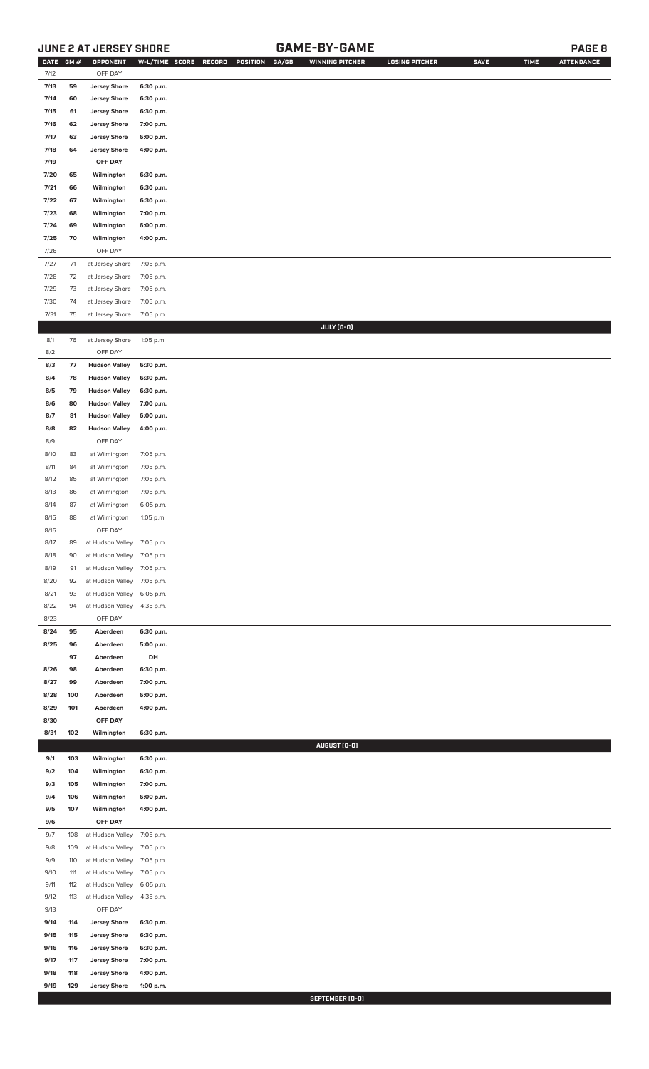# **JUNE 2 AT JERSEY SHORE GAME-BY-GAME PAGE 8**

| <b>DATE</b>  | GM#      | OPPONENT                        |                        | W-L/TIME SCORE RECORD<br>POSITION<br>GA/GB | <b>WINNING PITCHER</b> | <b>LOSING PITCHER</b> | <b>SAVE</b> | <b>TIME</b> | <b>ATTENDANCE</b> |
|--------------|----------|---------------------------------|------------------------|--------------------------------------------|------------------------|-----------------------|-------------|-------------|-------------------|
| 7/12         |          | OFF DAY                         |                        |                                            |                        |                       |             |             |                   |
| 7/13         | 59       | <b>Jersey Shore</b>             | 6:30 p.m.              |                                            |                        |                       |             |             |                   |
| 7/14         | 60       | <b>Jersey Shore</b>             | 6:30 p.m.              |                                            |                        |                       |             |             |                   |
| 7/15         | 61       | <b>Jersey Shore</b>             | 6:30 p.m.              |                                            |                        |                       |             |             |                   |
| 7/16         | 62       | <b>Jersey Shore</b>             | 7:00 p.m.              |                                            |                        |                       |             |             |                   |
| 7/17         | 63       | <b>Jersey Shore</b>             | 6:00 p.m.              |                                            |                        |                       |             |             |                   |
| 7/18         | 64       | <b>Jersey Shore</b>             | 4:00 p.m.              |                                            |                        |                       |             |             |                   |
|              |          |                                 |                        |                                            |                        |                       |             |             |                   |
| 7/19         |          | OFF DAY                         |                        |                                            |                        |                       |             |             |                   |
| 7/20         | 65       | Wilmington                      | 6:30 p.m.              |                                            |                        |                       |             |             |                   |
| 7/21         | 66       | Wilmington                      | 6:30 p.m.              |                                            |                        |                       |             |             |                   |
| 7/22         | 67       | Wilmington                      | 6:30 p.m.              |                                            |                        |                       |             |             |                   |
| 7/23         | 68       | Wilmington                      | 7:00 p.m.              |                                            |                        |                       |             |             |                   |
| 7/24         | 69       | Wilmington                      | 6:00 p.m.              |                                            |                        |                       |             |             |                   |
| 7/25         | 70       | Wilmington                      | 4:00 p.m.              |                                            |                        |                       |             |             |                   |
| 7/26         |          | OFF DAY                         |                        |                                            |                        |                       |             |             |                   |
| $7/27$       | 71       | at Jersey Shore                 | 7:05 p.m.              |                                            |                        |                       |             |             |                   |
| 7/28         | 72       | at Jersey Shore                 | 7:05 p.m.              |                                            |                        |                       |             |             |                   |
| 7/29         | 73       | at Jersey Shore                 | 7:05 p.m.              |                                            |                        |                       |             |             |                   |
| 7/30         | 74       | at Jersey Shore                 | 7:05 p.m.              |                                            |                        |                       |             |             |                   |
| 7/31         | 75       | at Jersey Shore                 | 7:05 p.m.              |                                            |                        |                       |             |             |                   |
|              |          |                                 |                        |                                            | JULY (0-0)             |                       |             |             |                   |
| 8/1          | 76       | at Jersey Shore                 | 1:05 p.m.              |                                            |                        |                       |             |             |                   |
| 8/2          |          | OFF DAY                         |                        |                                            |                        |                       |             |             |                   |
| 8/3          | 77       | <b>Hudson Valley</b>            | 6:30 p.m.              |                                            |                        |                       |             |             |                   |
| 8/4          | 78       | <b>Hudson Valley</b>            | 6:30 p.m.              |                                            |                        |                       |             |             |                   |
| 8/5          | 79       | <b>Hudson Valley</b>            | 6:30 p.m.              |                                            |                        |                       |             |             |                   |
| 8/6          | 80       | <b>Hudson Valley</b>            | 7:00 p.m.              |                                            |                        |                       |             |             |                   |
| 8/7          | 81       | <b>Hudson Valley</b>            | 6:00 p.m.              |                                            |                        |                       |             |             |                   |
| 8/8          |          |                                 |                        |                                            |                        |                       |             |             |                   |
|              | 82       | <b>Hudson Valley</b><br>OFF DAY | 4:00 p.m.              |                                            |                        |                       |             |             |                   |
| 8/9          |          |                                 |                        |                                            |                        |                       |             |             |                   |
| 8/10<br>8/11 | 83<br>84 | at Wilmington<br>at Wilmington  | 7:05 p.m.<br>7:05 p.m. |                                            |                        |                       |             |             |                   |
|              |          |                                 |                        |                                            |                        |                       |             |             |                   |
| 8/12         | 85       | at Wilmington                   | 7:05 p.m.              |                                            |                        |                       |             |             |                   |
| 8/13         | 86       | at Wilmington                   | 7:05 p.m.              |                                            |                        |                       |             |             |                   |
| 8/14         | 87       | at Wilmington                   | 6:05 p.m.              |                                            |                        |                       |             |             |                   |
| 8/15         | 88       | at Wilmington                   | 1:05 p.m.              |                                            |                        |                       |             |             |                   |
| 8/16         |          | OFF DAY                         |                        |                                            |                        |                       |             |             |                   |
| 8/17         | 89       | at Hudson Valley 7:05 p.m.      |                        |                                            |                        |                       |             |             |                   |
| 8/18         | 90       | at Hudson Valley                | 7:05 p.m.              |                                            |                        |                       |             |             |                   |
| 8/19         | 91       | at Hudson Valley                | 7:05 p.m.              |                                            |                        |                       |             |             |                   |
| 8/20         | 92       | at Hudson Valley                | 7:05 p.m.              |                                            |                        |                       |             |             |                   |
| 8/21         | 93       | at Hudson Valley                | 6:05 p.m.              |                                            |                        |                       |             |             |                   |
| 8/22         | 94       | at Hudson Valley                | 4:35 p.m.              |                                            |                        |                       |             |             |                   |
| 8/23         |          | OFF DAY                         |                        |                                            |                        |                       |             |             |                   |
| 8/24         | 95       | Aberdeen                        | 6:30 p.m.              |                                            |                        |                       |             |             |                   |
| 8/25         | 96       | Aberdeen                        | 5:00 p.m.              |                                            |                        |                       |             |             |                   |
|              | 97       | Aberdeen                        | DH                     |                                            |                        |                       |             |             |                   |
| 8/26         | 98       | Aberdeen                        | 6:30 p.m.              |                                            |                        |                       |             |             |                   |
| 8/27         | 99       | Aberdeen                        | 7:00 p.m.              |                                            |                        |                       |             |             |                   |
| 8/28         | 100      | Aberdeen                        | 6:00 p.m.              |                                            |                        |                       |             |             |                   |
| 8/29         | 101      | Aberdeen                        | 4:00 p.m.              |                                            |                        |                       |             |             |                   |
| 8/30         |          | OFF DAY                         |                        |                                            |                        |                       |             |             |                   |
| 8/31         | 102      | Wilmington                      | 6:30 p.m.              |                                            |                        |                       |             |             |                   |
|              |          |                                 |                        |                                            | AUGUST (0-0)           |                       |             |             |                   |
| 9/1          | 103      | Wilmington                      | 6:30 p.m.              |                                            |                        |                       |             |             |                   |
| 9/2          | 104      | Wilmington                      | 6:30 p.m.              |                                            |                        |                       |             |             |                   |
| 9/3          | 105      | Wilmington                      | 7:00 p.m.              |                                            |                        |                       |             |             |                   |
| 9/4          | 106      | Wilmington                      | 6:00 p.m.              |                                            |                        |                       |             |             |                   |
| 9/5          | 107      | Wilmington                      | 4:00 p.m.              |                                            |                        |                       |             |             |                   |
| 9/6          |          | OFF DAY                         |                        |                                            |                        |                       |             |             |                   |
| 9/7          | 108      | at Hudson Valley                | 7:05 p.m.              |                                            |                        |                       |             |             |                   |
| 9/8          | 109      | at Hudson Valley                | 7:05 p.m.              |                                            |                        |                       |             |             |                   |
| 9/9          | 110      | at Hudson Valley                | 7:05 p.m.              |                                            |                        |                       |             |             |                   |
| 9/10         | 111      | at Hudson Valley                | 7:05 p.m.              |                                            |                        |                       |             |             |                   |
| 9/11         | 112      | at Hudson Valley                | 6:05 p.m.              |                                            |                        |                       |             |             |                   |
| 9/12         | 113      | at Hudson Valley                | 4:35 p.m.              |                                            |                        |                       |             |             |                   |
| 9/13         |          | OFF DAY                         |                        |                                            |                        |                       |             |             |                   |
| 9/14         | 114      | <b>Jersey Shore</b>             | 6:30 p.m.              |                                            |                        |                       |             |             |                   |
| 9/15         | 115      | <b>Jersey Shore</b>             | 6:30 p.m.              |                                            |                        |                       |             |             |                   |
| 9/16         | 116      | <b>Jersey Shore</b>             | 6:30 p.m.              |                                            |                        |                       |             |             |                   |
| 9/17         | 117      | <b>Jersey Shore</b>             | 7:00 p.m.              |                                            |                        |                       |             |             |                   |
| 9/18         | 118      | <b>Jersey Shore</b>             | 4:00 p.m.              |                                            |                        |                       |             |             |                   |
| 9/19         | 129      | <b>Jersey Shore</b>             | 1:00 p.m.              |                                            |                        |                       |             |             |                   |

**SEPTEMBER (0-0)**